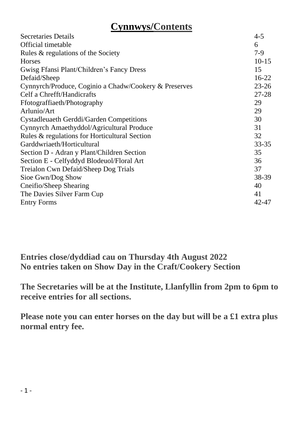# **Cynnwys/Contents**

| Secretaries Details                                   | $4 - 5$   |
|-------------------------------------------------------|-----------|
| Official timetable                                    | 6         |
| Rules & regulations of the Society                    | 7-9       |
| <b>Horses</b>                                         | $10 - 15$ |
| Gwisg Ffansi Plant/Children's Fancy Dress             | 15        |
| Defaid/Sheep                                          | $16-22$   |
| Cynnyrch/Produce, Coginio a Chadw/Cookery & Preserves | $23 - 26$ |
| Celf a Chrefft/Handicrafts                            | $27 - 28$ |
| Ffotograffiaeth/Photography                           | 29        |
| Arlunio/Art                                           | 29        |
| Cystadleuaeth Gerddi/Garden Competitions              | 30        |
| Cynnyrch Amaethyddol/Agricultural Produce             | 31        |
| Rules & regulations for Horticultural Section         | 32        |
| Garddwriaeth/Horticultural                            | 33-35     |
| Section D - Adran y Plant/Children Section            | 35        |
| Section E - Celfyddyd Blodeuol/Floral Art             | 36        |
| Treialon Cwn Defaid/Sheep Dog Trials                  | 37        |
| Sioe Gwn/Dog Show                                     | 38-39     |
| Cneifio/Sheep Shearing                                | 40        |
| The Davies Silver Farm Cup                            | 41        |
| <b>Entry Forms</b>                                    | 42-47     |
|                                                       |           |

**Entries close/dyddiad cau on Thursday 4th August 2022 No entries taken on Show Day in the Craft/Cookery Section**

**The Secretaries will be at the Institute, Llanfyllin from 2pm to 6pm to receive entries for all sections.**

**Please note you can enter horses on the day but will be a £1 extra plus normal entry fee.**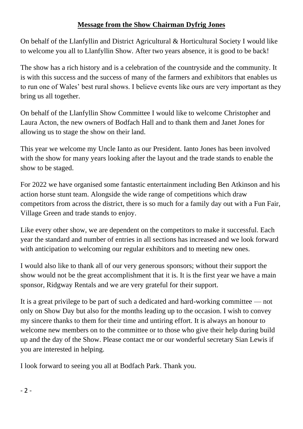#### **Message from the Show Chairman Dyfrig Jones**

On behalf of the Llanfyllin and District Agricultural & Horticultural Society I would like to welcome you all to Llanfyllin Show. After two years absence, it is good to be back!

The show has a rich history and is a celebration of the countryside and the community. It is with this success and the success of many of the farmers and exhibitors that enables us to run one of Wales' best rural shows. I believe events like ours are very important as they bring us all together.

On behalf of the Llanfyllin Show Committee I would like to welcome Christopher and Laura Acton, the new owners of Bodfach Hall and to thank them and Janet Jones for allowing us to stage the show on their land.

This year we welcome my Uncle Ianto as our President. Ianto Jones has been involved with the show for many years looking after the layout and the trade stands to enable the show to be staged.

For 2022 we have organised some fantastic entertainment including Ben Atkinson and his action horse stunt team. Alongside the wide range of competitions which draw competitors from across the district, there is so much for a family day out with a Fun Fair, Village Green and trade stands to enjoy.

Like every other show, we are dependent on the competitors to make it successful. Each year the standard and number of entries in all sections has increased and we look forward with anticipation to welcoming our regular exhibitors and to meeting new ones.

I would also like to thank all of our very generous sponsors; without their support the show would not be the great accomplishment that it is. It is the first year we have a main sponsor, Ridgway Rentals and we are very grateful for their support.

It is a great privilege to be part of such a dedicated and hard-working committee — not only on Show Day but also for the months leading up to the occasion. I wish to convey my sincere thanks to them for their time and untiring effort. It is always an honour to welcome new members on to the committee or to those who give their help during build up and the day of the Show. Please contact me or our wonderful secretary Sian Lewis if you are interested in helping.

I look forward to seeing you all at Bodfach Park. Thank you.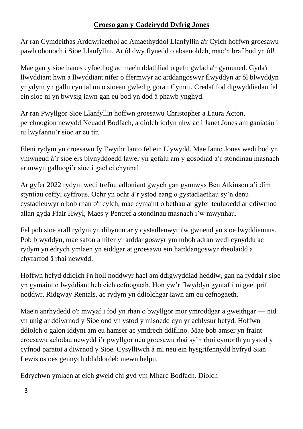#### **Croeso gan y Cadeirydd Dyfrig Jones**

Ar ran Cymdeithas Arddwriaethol ac Amaethyddol Llanfyllin a'r Cylch hoffwn groesawu pawb ohonoch i Sioe Llanfyllin. Ar ôl dwy flynedd o absenoldeb, mae'n braf bod yn ôl!

Mae gan y sioe hanes cyfoethog ac mae'n ddathliad o gefn gwlad a'r gymuned. Gyda'r llwyddiant hwn a llwyddiant nifer o ffermwyr ac arddangoswyr flwyddyn ar ôl blwyddyn yr ydym yn gallu cynnal un o sioeau gwledig gorau Cymru. Credaf fod digwyddiadau fel ein sioe ni yn bwysig iawn gan eu bod yn dod â phawb ynghyd.

Ar ran Pwyllgor Sioe Llanfyllin hoffwn groesawu Christopher a Laura Acton, perchnogion newydd Neuadd Bodfach, a diolch iddyn nhw ac i Janet Jones am ganiatáu i ni lwyfannu'r sioe ar eu tir.

Eleni rydym yn croesawu fy Ewythr Ianto fel ein Llywydd. Mae Ianto Jones wedi bod yn ymwneud â'r sioe ers blynyddoedd lawer yn gofalu am y gosodiad a'r stondinau masnach er mwyn galluogi'r sioe i gael ei chynnal.

Ar gyfer 2022 rydym wedi trefnu adloniant gwych gan gynnwys Ben Atkinson a'i dîm styntiau ceffyl cyffrous. Ochr yn ochr â'r ystod eang o gystadlaethau sy'n denu cystadleuwyr o bob rhan o'r cylch, mae cymaint o bethau ar gyfer teuluoedd ar ddiwrnod allan gyda Ffair Hwyl, Maes y Pentref a stondinau masnach i'w mwynhau.

Fel pob sioe arall rydym yn dibynnu ar y cystadleuwyr i'w gwneud yn sioe lwyddiannus. Pob blwyddyn, mae safon a nifer yr arddangoswyr ym mhob adran wedi cynyddu ac rydym yn edrych ymlaen yn eiddgar at groesawu ein harddangoswyr rheolaidd a chyfarfod â rhai newydd.

Hoffwn hefyd ddiolch i'n holl noddwyr hael am ddigwyddiad heddiw, gan na fyddai'r sioe yn gymaint o lwyddiant heb eich cefnogaeth. Hon yw'r flwyddyn gyntaf i ni gael prif noddwr, Ridgway Rentals, ac rydym yn ddiolchgar iawn am eu cefnogaeth.

Mae'n anrhydedd o'r mwyaf i fod yn rhan o bwyllgor mor ymroddgar a gweithgar — nid yn unig ar ddiwrnod y Sioe ond yn ystod y misoedd cyn yr achlysur hefyd. Hoffwn ddiolch o galon iddynt am eu hamser ac ymdrech ddiflino. Mae bob amser yn fraint croesawu aelodau newydd i'r pwyllgor neu groesawu rhai sy'n rhoi cymorth yn ystod y cyfnod paratoi a diwrnod y Sioe. Cysylltwch â mi neu ein hysgrifennydd hyfryd Sian Lewis os oes gennych ddiddordeb mewn helpu.

Edrychwn ymlaen at eich gweld chi gyd ym Mharc Bodfach. Diolch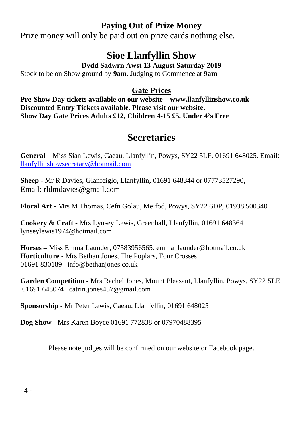#### **Paying Out of Prize Money**

Prize money will only be paid out on prize cards nothing else.

# **Sioe Llanfyllin Show**

**Dydd Sadwrn Awst 13 August Saturday 2019**

Stock to be on Show ground by **9am.** Judging to Commence at **9am**

#### **Gate Prices**

**Pre-Show Day tickets available on our website – www.llanfyllinshow.co.uk Discounted Entry Tickets available. Please visit our website. Show Day Gate Prices Adults £12, Children 4-15 £5, Under 4's Free**

# **Secretaries**

**General –** Miss Sian Lewis, Caeau, Llanfyllin, Powys, SY22 5LF. 01691 648025. Email: [llanfyllinshowsecretary@hotmail.com](mailto:llanfyllinshowsecretary@hotmail.com)

**Sheep -** Mr R Davies, Glanfeiglo, Llanfyllin**,** 01691 648344 or 07773527290, Email: rldmdavies@gmail.com

**Floral Art -** Mrs M Thomas, Cefn Golau, Meifod, Powys, SY22 6DP, 01938 500340

**Cookery & Craft** - Mrs Lynsey Lewis, Greenhall, Llanfyllin, 01691 648364 lynseylewis1974@hotmail.com

**Horses –** Miss Emma Launder, 07583956565, emma\_launder@hotmail.co.uk **Horticulture -** Mrs Bethan Jones, The Poplars, Four Crosses 01691 830189 info@bethanjones.co.uk

**Garden Competition -** Mrs Rachel Jones, Mount Pleasant, Llanfyllin, Powys, SY22 5LE 01691 648074 catrin.jones457@gmail.com

**Sponsorship -** Mr Peter Lewis, Caeau, Llanfyllin**,** 01691 648025

**Dog Show -** Mrs Karen Boyce 01691 772838 or 07970488395

Please note judges will be confirmed on our website or Facebook page.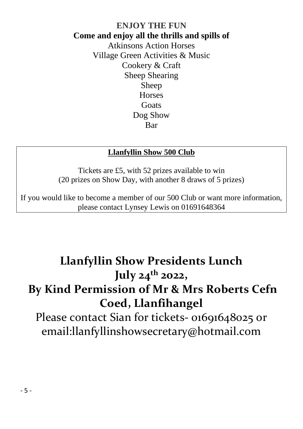#### **ENJOY THE FUN Come and enjoy all the thrills and spills of** Atkinsons Action Horses Village Green Activities & Music Cookery & Craft Sheep Shearing Sheep **Horses Goats** Dog Show Bar

#### **Llanfyllin Show 500 Club**

Tickets are £5, with 52 prizes available to win (20 prizes on Show Day, with another 8 draws of 5 prizes)

If you would like to become a member of our 500 Club or want more information, please contact Lynsey Lewis on 01691648364

# **Llanfyllin Show Presidents Lunch July 24th 2022, By Kind Permission of Mr & Mrs Roberts Cefn Coed, Llanfihangel**

Please contact Sian for tickets- 01691648025 or email:llanfyllinshowsecretary@hotmail.com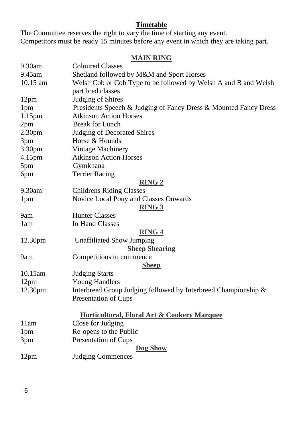#### **Timetable**

The Committee reserves the right to vary the time of starting any event. Competitors must be ready 15 minutes before any event in which they are taking part.

#### **MAIN RING**

| 9.30am             | <b>Coloured Classes</b>                                          |  |  |
|--------------------|------------------------------------------------------------------|--|--|
| 9.45am             | Shetland followed by M&M and Sport Horses                        |  |  |
| $10.15$ am         | Welsh Cob or Cob Type to be followed by Welsh A and B and Welsh  |  |  |
|                    | part bred classes                                                |  |  |
| 12pm               | Judging of Shires                                                |  |  |
| 1pm                | Presidents Speech & Judging of Fancy Dress & Mounted Fancy Dress |  |  |
| 1.15 <sub>pm</sub> | <b>Atkinson Action Horses</b>                                    |  |  |
| 2pm                | <b>Break for Lunch</b>                                           |  |  |
| 2.30 <sub>pm</sub> | Judging of Decorated Shires                                      |  |  |
| 3pm                | Horse & Hounds                                                   |  |  |
| 3.30pm             | Vintage Machinery                                                |  |  |
| 4.15pm             | <b>Atkinson Action Horses</b>                                    |  |  |
| 5pm                | Gymkhana                                                         |  |  |
| 6pm                | <b>Terrier Racing</b>                                            |  |  |
|                    | <b>RING 2</b>                                                    |  |  |
| 9.30am             | <b>Childrens Riding Classes</b>                                  |  |  |
| 1 <sub>pm</sub>    | Novice Local Pony and Classes Onwards                            |  |  |
|                    | <b>RING 3</b>                                                    |  |  |
| 9am                | <b>Hunter Classes</b>                                            |  |  |
| 1am                | In Hand Classes                                                  |  |  |
|                    | <b>RING 4</b>                                                    |  |  |
| 12.30pm            | <b>Unaffiliated Show Jumping</b>                                 |  |  |
|                    | <b>Sheep Shearing</b>                                            |  |  |
| 9am                | Competitions to commence                                         |  |  |
|                    | <b>Sheep</b>                                                     |  |  |
| 10.15am            | <b>Judging Starts</b>                                            |  |  |
| 12pm               | <b>Young Handlers</b>                                            |  |  |
| 12.30pm            | Interbreed Group Judging followed by Interbreed Championship &   |  |  |
|                    | Presentation of Cups                                             |  |  |
|                    | Horticultural, Floral Art & Cookery Marquee                      |  |  |
| 11am               | Close for Judging                                                |  |  |
| 1pm                | Re-opens to the Public                                           |  |  |
| 3pm                | Presentation of Cups                                             |  |  |
|                    | Dog Show                                                         |  |  |
| 12pm               | <b>Judging Commences</b>                                         |  |  |
|                    |                                                                  |  |  |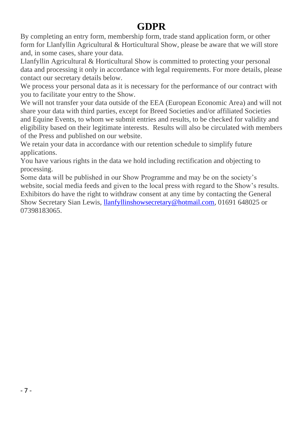# **GDPR**

By completing an entry form, membership form, trade stand application form, or other form for Llanfyllin Agricultural & Horticultural Show, please be aware that we will store and, in some cases, share your data.

Llanfyllin Agricultural & Horticultural Show is committed to protecting your personal data and processing it only in accordance with legal requirements. For more details, please contact our secretary details below.

We process your personal data as it is necessary for the performance of our contract with you to facilitate your entry to the Show.

We will not transfer your data outside of the EEA (European Economic Area) and will not share your data with third parties, except for Breed Societies and/or affiliated Societies and Equine Events, to whom we submit entries and results, to be checked for validity and eligibility based on their legitimate interests. Results will also be circulated with members of the Press and published on our website.

We retain your data in accordance with our retention schedule to simplify future applications.

You have various rights in the data we hold including rectification and objecting to processing.

Some data will be published in our Show Programme and may be on the society's website, social media feeds and given to the local press with regard to the Show's results. Exhibitors do have the right to withdraw consent at any time by contacting the General Show Secretary Sian Lewis[, llanfyllinshowsecretary@hotmail.com,](mailto:llanfyllinshowsecretary@hotmail.com) 01691 648025 or 07398183065.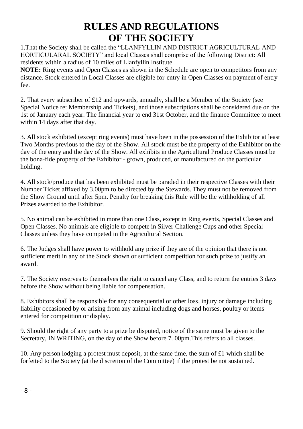# **RULES AND REGULATIONS OF THE SOCIETY**

1.That the Society shall be called the "LLANFYLLIN AND DISTRICT AGRICULTURAL AND HORTICULARAL SOCIETY" and local Classes shall comprise of the following District: All residents within a radius of 10 miles of Llanfyllin Institute.

**NOTE:** Ring events and Open Classes as shown in the Schedule are open to competitors from any distance. Stock entered in Local Classes are eligible for entry in Open Classes on payment of entry fee.

2. That every subscriber of  $\pounds 12$  and upwards, annually, shall be a Member of the Society (see Special Notice re: Membership and Tickets), and those subscriptions shall be considered due on the 1st of January each year. The financial year to end 31st October, and the finance Committee to meet within 14 days after that day.

3. All stock exhibited (except ring events) must have been in the possession of the Exhibitor at least Two Months previous to the day of the Show. All stock must be the property of the Exhibitor on the day of the entry and the day of the Show. All exhibits in the Agricultural Produce Classes must be the bona-fide property of the Exhibitor - grown, produced, or manufactured on the particular holding.

4. All stock/produce that has been exhibited must be paraded in their respective Classes with their Number Ticket affixed by 3.00pm to be directed by the Stewards. They must not be removed from the Show Ground until after 5pm. Penalty for breaking this Rule will be the withholding of all Prizes awarded to the Exhibitor.

5. No animal can be exhibited in more than one Class, except in Ring events, Special Classes and Open Classes. No animals are eligible to compete in Silver Challenge Cups and other Special Classes unless they have competed in the Agricultural Section.

6. The Judges shall have power to withhold any prize if they are of the opinion that there is not sufficient merit in any of the Stock shown or sufficient competition for such prize to justify an award.

7. The Society reserves to themselves the right to cancel any Class, and to return the entries 3 days before the Show without being liable for compensation.

8. Exhibitors shall be responsible for any consequential or other loss, injury or damage including liability occasioned by or arising from any animal including dogs and horses, poultry or items entered for competition or display.

9. Should the right of any party to a prize be disputed, notice of the same must be given to the Secretary, IN WRITING, on the day of the Show before 7, 00pm. This refers to all classes.

10. Any person lodging a protest must deposit, at the same time, the sum of £1 which shall be forfeited to the Society (at the discretion of the Committee) if the protest be not sustained.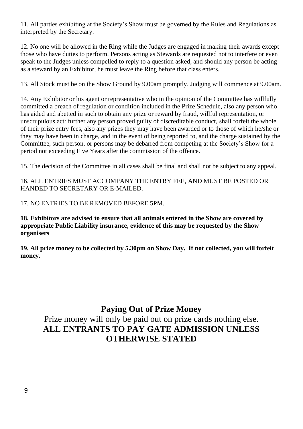11. All parties exhibiting at the Society's Show must be governed by the Rules and Regulations as interpreted by the Secretary.

12. No one will be allowed in the Ring while the Judges are engaged in making their awards except those who have duties to perform. Persons acting as Stewards are requested not to interfere or even speak to the Judges unless compelled to reply to a question asked, and should any person be acting as a steward by an Exhibitor, he must leave the Ring before that class enters.

13. All Stock must be on the Show Ground by 9.00am promptly. Judging will commence at 9.00am.

14. Any Exhibitor or his agent or representative who in the opinion of the Committee has willfully committed a breach of regulation or condition included in the Prize Schedule, also any person who has aided and abetted in such to obtain any prize or reward by fraud, willful representation, or unscrupulous act: further any person proved guilty of discreditable conduct, shall forfeit the whole of their prize entry fees, also any prizes they may have been awarded or to those of which he/she or they may have been in charge, and in the event of being reported to, and the charge sustained by the Committee, such person, or persons may be debarred from competing at the Society's Show for a period not exceeding Five Years after the commission of the offence.

15. The decision of the Committee in all cases shall be final and shall not be subject to any appeal.

16. ALL ENTRIES MUST ACCOMPANY THE ENTRY FEE, AND MUST BE POSTED OR HANDED TO SECRETARY OR E-MAILED.

17. NO ENTRIES TO BE REMOVED BEFORE 5PM.

**18. Exhibitors are advised to ensure that all animals entered in the Show are covered by appropriate Public Liability insurance, evidence of this may be requested by the Show organisers**

**19. All prize money to be collected by 5.30pm on Show Day. If not collected, you will forfeit money.**

#### **Paying Out of Prize Money**

Prize money will only be paid out on prize cards nothing else. **ALL ENTRANTS TO PAY GATE ADMISSION UNLESS OTHERWISE STATED**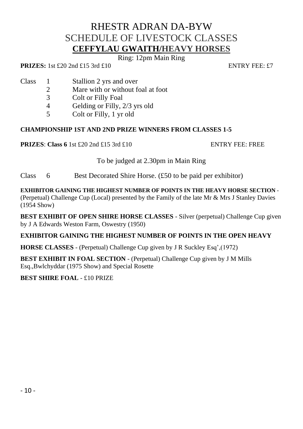# RHESTR ADRAN DA-BYW SCHEDULE OF LIVESTOCK CLASSES **CEFFYLAU GWAITH/HEAVY HORSES**

Ring: 12pm Main Ring

**PRIZES:** 1st £20 2nd £15 3rd £10 ENTRY FEE: £7

- Class 1 Stallion 2 yrs and over
	- 2 Mare with or without foal at foot<br>3 Colt or Filly Foal
	- Colt or Filly Foal
	- 4 Gelding or Filly, 2/3 yrs old
	- 5 Colt or Filly, 1 yr old

#### **CHAMPIONSHIP 1ST AND 2ND PRIZE WINNERS FROM CLASSES 1-5**

**PRIZES**: **Class 6** 1st £20 2nd £15 3rd £10 ENTRY FEE: FREE

To be judged at 2.30pm in Main Ring

Class  $\overline{6}$  Best Decorated Shire Horse. (£50 to be paid per exhibitor)

**EXHIBITOR GAINING THE HIGHEST NUMBER OF POINTS IN THE HEAVY HORSE SECTION** -

(Perpetual) Challenge Cup (Local) presented by the Family of the late Mr & Mrs J Stanley Davies (1954 Show)

**BEST EXHIBIT OF OPEN SHIRE HORSE CLASSES** - Silver (perpetual) Challenge Cup given by J A Edwards Weston Farm, Oswestry (1950)

#### **EXHIBITOR GAINING THE HIGHEST NUMBER OF POINTS IN THE OPEN HEAVY**

**HORSE CLASSES** - (Perpetual) Challenge Cup given by J R Suckley Esq',(1972)

**BEST EXHIBIT IN FOAL SECTION** - (Perpetual) Challenge Cup given by J M Mills Esq.,Bwlchyddar (1975 Show) and Special Rosette

#### **BEST SHIRE FOAL** - £10 PRIZE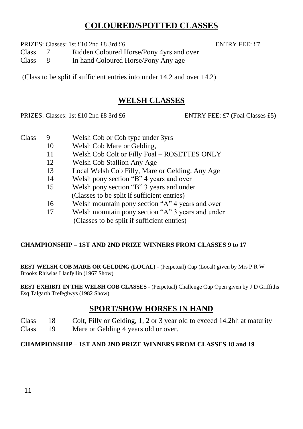#### **COLOURED/SPOTTED CLASSES**

PRIZES: Classes: 1st £10 2nd £8 3rd £6 ENTRY FEE: £7

Class 7 Ridden Coloured Horse/Pony 4yrs and over

Class 8 In hand Coloured Horse/Pony Any age

(Class to be split if sufficient entries into under 14.2 and over 14.2)

#### **WELSH CLASSES**

PRIZES: Classes: 1st £10 2nd £8 3rd £6 ENTRY FEE: £7 (Foal Classes £5)

- Class 9 Welsh Cob or Cob type under 3yrs
	- 10 Welsh Cob Mare or Gelding,
		- 11 Welsh Cob Colt or Filly Foal ROSETTES ONLY
		- 12 Welsh Cob Stallion Any Age
		- 13 Local Welsh Cob Filly, Mare or Gelding. Any Age
		- 14 Welsh pony section "B" 4 years and over
		- 15 Welsh pony section "B" 3 years and under (Classes to be split if sufficient entries)
		- 16 Welsh mountain pony section "A" 4 years and over
		- 17 Welsh mountain pony section "A" 3 years and under
			- (Classes to be split if sufficient entries)

#### **CHAMPIONSHIP – 1ST AND 2ND PRIZE WINNERS FROM CLASSES 9 to 17**

**BEST WELSH COB MARE OR GELDING (LOCAL)** - (Perpetual) Cup (Local) given by Mrs P R W Brooks Rhiwlas Llanfyllin (1967 Show)

**BEST EXHIBIT IN THE WELSH COB CLASSES** - (Perpetual) Challenge Cup Open given by J D Griffiths Esq Talgarth Trefeglwys (1982 Show)

## **SPORT/SHOW HORSES IN HAND**

- Class 18 Colt, Filly or Gelding, 1, 2 or 3 year old to exceed 14.2hh at maturity
- Class 19 Mare or Gelding 4 years old or over.

#### **CHAMPIONSHIP – 1ST AND 2ND PRIZE WINNERS FROM CLASSES 18 and 19**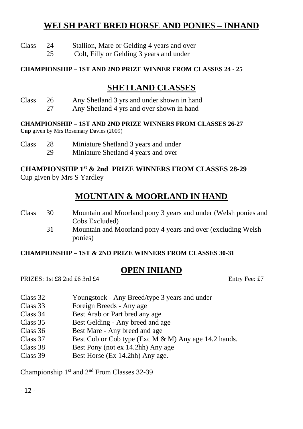#### **WELSH PART BRED HORSE AND PONIES – INHAND**

- Class 24 Stallion, Mare or Gelding 4 years and over
	- 25 Colt, Filly or Gelding 3 years and under

#### **CHAMPIONSHIP – 1ST AND 2ND PRIZE WINNER FROM CLASSES 24 - 25**

#### **SHETLAND CLASSES**

- Class 26 Any Shetland 3 yrs and under shown in hand
	- 27 Any Shetland 4 yrs and over shown in hand

#### **CHAMPIONSHIP – 1ST AND 2ND PRIZE WINNERS FROM CLASSES 26-27**

**Cup** given by Mrs Rosemary Davies (2009)

- Class 28 Miniature Shetland 3 years and under
	- 29 Miniature Shetland 4 years and over

#### **CHAMPIONSHIP 1 st & 2nd PRIZE WINNERS FROM CLASSES 28-29** Cup given by Mrs S Yardley

## **MOUNTAIN & MOORLAND IN HAND**

| Class | 30 | Mountain and Moorland pony 3 years and under (Welsh ponies and |
|-------|----|----------------------------------------------------------------|
|       |    | Cobs Excluded)                                                 |
|       | 31 | Mountain and Moorland pony 4 years and over (excluding Welsh   |
|       |    | ponies)                                                        |

#### **CHAMPIONSHIP – 1ST & 2ND PRIZE WINNERS FROM CLASSES 30-31**

#### **OPEN INHAND**

PRIZES: 1st £8 2nd £6 3rd £4 Entry Fee: £7

- Class 32 Youngstock Any Breed/type 3 years and under
- Class 33 Foreign Breeds Any age
- Class 34 Best Arab or Part bred any age
- Class 35 Best Gelding Any breed and age
- Class 36 Best Mare Any breed and age
- Class 37 Best Cob or Cob type (Exc M & M) Any age 14.2 hands.
- Class 38 Best Pony (not ex 14.2hh) Any age
- Class 39 Best Horse (Ex 14.2hh) Any age.

Championship 1st and 2nd From Classes 32-39

- 12 -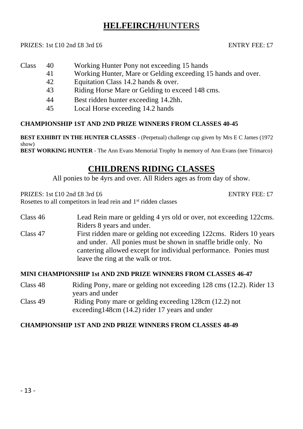#### **HELFEIRCH/HUNTERS**

#### PRIZES: 1st £10 2nd £8 3rd £6 ENTRY FEE: £7

- Class 40 Working Hunter Pony not exceeding 15 hands
	- 41 Working Hunter, Mare or Gelding exceeding 15 hands and over.
	- 42 Equitation Class 14.2 hands & over.
	- 43 Riding Horse Mare or Gelding to exceed 148 cms.
	- 44 Best ridden hunter exceeding 14.2hh.
	- 45 Local Horse exceeding 14.2 hands

#### **CHAMPIONSHIP 1ST AND 2ND PRIZE WINNERS FROM CLASSES 40-45**

**BEST EXHIBIT IN THE HUNTER CLASSES** - (Perpetual) challenge cup given by Mrs E C James (1972 show)

**BEST WORKING HUNTER** - The Ann Evans Memorial Trophy In memory of Ann Evans (nee Trimarco)

#### **CHILDRENS RIDING CLASSES**

All ponies to be 4yrs and over. All Riders ages as from day of show.

PRIZES: 1st £10 2nd £8 3rd £6 ENTRY FEE: £7

Rosettes to all competitors in lead rein and 1<sup>st</sup> ridden classes

#### Class 46 Lead Rein mare or gelding 4 yrs old or over, not exceeding 122cms. Riders 8 years and under. Class 47 First ridden mare or gelding not exceeding 122cms. Riders 10 years

and under. All ponies must be shown in snaffle bridle only. No cantering allowed except for individual performance. Ponies must leave the ring at the walk or trot.

#### **MINI CHAMPIONSHIP 1st AND 2ND PRIZE WINNERS FROM CLASSES 46-47**

Class 48 Riding Pony, mare or gelding not exceeding 128 cms (12.2). Rider 13 years and under Class 49 Riding Pony mare or gelding exceeding 128cm (12.2) not exceeding148cm (14.2) rider 17 years and under

#### **CHAMPIONSHIP 1ST AND 2ND PRIZE WINNERS FROM CLASSES 48-49**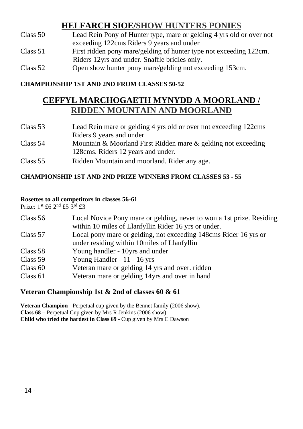#### **HELFARCH SIOE/SHOW HUNTERS PONIES**

| Class 50 | Lead Rein Pony of Hunter type, mare or gelding 4 yrs old or over not |
|----------|----------------------------------------------------------------------|
|          | exceeding 122cms Riders 9 years and under                            |
| Class 51 | First ridden pony mare/gelding of hunter type not exceeding 122cm.   |
|          | Riders 12 yrs and under. Snaffle bridles only.                       |
| Class 52 | Open show hunter pony mare/gelding not exceeding 153cm.              |

#### **CHAMPIONSHIP 1ST AND 2ND FROM CLASSES 50-52**

#### **CEFFYL MARCHOGAETH MYNYDD A MOORLAND / RIDDEN MOUNTAIN AND MOORLAND**

| Class 53   | Lead Rein mare or gelding 4 yrs old or over not exceeding 122cms |  |
|------------|------------------------------------------------------------------|--|
|            | Riders 9 years and under                                         |  |
| Class 54   | Mountain & Moorland First Ridden mare & gelding not exceeding    |  |
|            | 128 cms. Riders 12 years and under.                              |  |
| Class $55$ | Ridden Mountain and moorland. Rider any age.                     |  |

#### **CHAMPIONSHIP 1ST AND 2ND PRIZE WINNERS FROM CLASSES 53 - 55**

#### **Rosettes to all competitors in classes 56-61**

Prize: 1st £6 2nd £5 3rd £3

| Class 56   | Local Novice Pony mare or gelding, never to won a 1st prize. Residing<br>within 10 miles of Llanfyllin Rider 16 yrs or under. |
|------------|-------------------------------------------------------------------------------------------------------------------------------|
| Class 57   | Local pony mare or gelding, not exceeding 148cms Rider 16 yrs or<br>under residing within 10miles of Llanfyllin               |
| Class 58   | Young handler - 10yrs and under                                                                                               |
| Class 59   | Young Handler - 11 - 16 yrs                                                                                                   |
| Class $60$ | Veteran mare or gelding 14 yrs and over. ridden                                                                               |
| Class $61$ | Veteran mare or gelding 14yrs and over in hand                                                                                |

#### **Veteran Championship 1st & 2nd of classes 60 & 61**

**Veteran Champion** - Perpetual cup given by the Bennet family (2006 show). **Class 68 –** Perpetual Cup given by Mrs R Jenkins (2006 show) **Child who tried the hardest in Class 69** - Cup given by Mrs C Dawson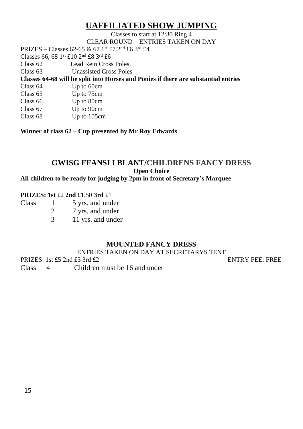#### **UAFFILIATED SHOW JUMPING**

Classes to start at 12:30 Ring 4 CLEAR ROUND – ENTRIES TAKEN ON DAY

PRIZES – Classes 62-65 & 67 1st £7 2nd £6 3rd £4

Classes 66, 68  $1^{\text{st}}$  £10  $2^{\text{nd}}$  £8  $3^{\text{rd}}$  £6<br>Class 62 Lead Rein Cross Lead Rein Cross Poles.

Class 63 Unassisted Cross Poles

**Classes 64-68 will be split into Horses and Ponies if there are substantial entries** 

| Class 64 | Up to 60cm |
|----------|------------|
| Class 65 | Up to 75cm |
| Class 66 | Up to 80cm |
| Class 67 | Up to 90cm |

Class 68 Up to 105cm

**Winner of class 62 – Cup presented by Mr Roy Edwards** 

#### **GWISG FFANSI I BLANT/CHILDRENS FANCY DRESS Open Choice**

**All children to be ready for judging by 2pm in front of Secretary's Marquee**

#### **PRIZES: 1st** £2 **2nd** £1.50 **3rd** £1

Class 1 5 yrs. and under 2 7 yrs. and under

3 11 yrs. and under

#### **MOUNTED FANCY DRESS**

ENTRIES TAKEN ON DAY AT SECRETARYS TENT

PRIZES: 1st £5 2nd £3 3rd £2 ENTRY FEE: FREE

Class 4 Children must be 16 and under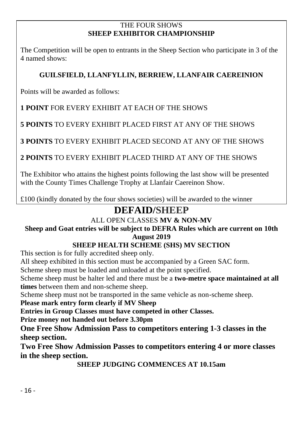#### THE FOUR SHOWS **SHEEP EXHIBITOR CHAMPIONSHIP**

The Competition will be open to entrants in the Sheep Section who participate in 3 of the 4 named shows:

#### **GUILSFIELD, LLANFYLLIN, BERRIEW, LLANFAIR CAEREINION**

Points will be awarded as follows:

**1 POINT** FOR EVERY EXHIBIT AT EACH OF THE SHOWS

**5 POINTS** TO EVERY EXHIBIT PLACED FIRST AT ANY OF THE SHOWS

**3 POINTS** TO EVERY EXHIBIT PLACED SECOND AT ANY OF THE SHOWS

**2 POINTS** TO EVERY EXHIBIT PLACED THIRD AT ANY OF THE SHOWS

The Exhibitor who attains the highest points following the last show will be presented with the County Times Challenge Trophy at Llanfair Caereinon Show.

£100 (kindly donated by the four shows societies) will be awarded to the winner

# **DEFAID/SHEEP**

#### ALL OPEN CLASSES **MV & NON-MV**

#### **Sheep and Goat entries will be subject to DEFRA Rules which are current on 10th August 2019**

#### **SHEEP HEALTH SCHEME (SHS) MV SECTION**

This section is for fully accredited sheep only.

All sheep exhibited in this section must be accompanied by a Green SAC form.

Scheme sheep must be loaded and unloaded at the point specified.

Scheme sheep must be halter led and there must be a **two-metre space maintained at all times** between them and non-scheme sheep.

Scheme sheep must not be transported in the same vehicle as non-scheme sheep.

**Please mark entry form clearly if MV Sheep**

**Entries in Group Classes must have competed in other Classes.**

**Prize money not handed out before 3.30pm**

**One Free Show Admission Pass to competitors entering 1-3 classes in the sheep section.**

**Two Free Show Admission Passes to competitors entering 4 or more classes in the sheep section.**

**SHEEP JUDGING COMMENCES AT 10.15am**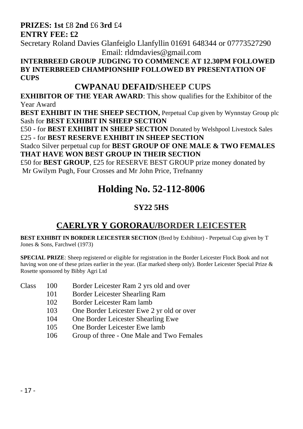#### **PRIZES: 1st** £8 **2nd** £6 **3rd** £4 **ENTRY FEE: £2**

Secretary Roland Davies Glanfeiglo Llanfyllin 01691 648344 or 07773527290 Email: rldmdavies@gmail.com

**INTERBREED GROUP JUDGING TO COMMENCE AT 12.30PM FOLLOWED BY INTERBREED CHAMPIONSHIP FOLLOWED BY PRESENTATION OF CUPS**

#### **CWPANAU DEFAID/SHEEP CUPS**

**EXHIBITOR OF THE YEAR AWARD**: This show qualifies for the Exhibitor of the Year Award

**BEST EXHIBIT IN THE SHEEP SECTION, Perpetual Cup given by Wynnstay Group plc** Sash for **BEST EXHIBIT IN SHEEP SECTION**

£50 - for **BEST EXHIBIT IN SHEEP SECTION** Donated by Welshpool Livestock Sales £25 - for **BEST RESERVE EXHIBIT IN SHEEP SECTION**

Stadco Silver perpetual cup for **BEST GROUP OF ONE MALE & TWO FEMALES THAT HAVE WON BEST GROUP IN THEIR SECTION**

£50 for **BEST GROUP**, £25 for RESERVE BEST GROUP prize money donated by Mr Gwilym Pugh, Four Crosses and Mr John Price, Trefnanny

# **Holding No. 52-112-8006**

## **SY22 5HS**

# **CAERLYR Y GORORAU/BORDER LEICESTER**

**BEST EXHIBIT IN BORDER LEICESTER SECTION** (Bred by Exhibitor) - Perpetual Cup given by T Jones & Sons, Farchwel (1973)

**SPECIAL PRIZE:** Sheep registered or eligible for registration in the Border Leicester Flock Book and not having won one of these prizes earlier in the year. (Ear marked sheep only). Border Leicester Special Prize & Rosette sponsored by Bibby Agri Ltd

- Class 100 Border Leicester Ram 2 yrs old and over
	- 101 Border Leicester Shearling Ram
	- 102 Border Leicester Ram lamb
	- 103 One Border Leicester Ewe 2 yr old or over
	- 104 One Border Leicester Shearling Ewe
	- 105 One Border Leicester Ewe lamb
	- 106 Group of three One Male and Two Females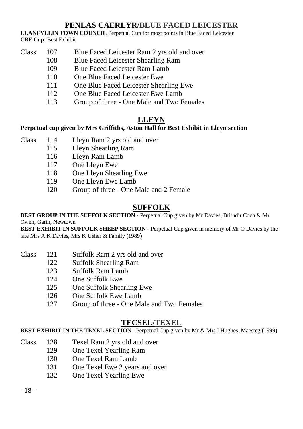#### **PENLAS CAERLYR/BLUE FACED LEICESTER**

**LLANFYLLIN TOWN COUNCIL** Perpetual Cup for most points in Blue Faced Leicester **CBF Cup**: Best Exhibit

- Class 107 Blue Faced Leicester Ram 2 yrs old and over
	- 108 Blue Faced Leicester Shearling Ram
		- 109 Blue Faced Leicester Ram Lamb
		- 110 One Blue Faced Leicester Ewe
		- 111 One Blue Faced Leicester Shearling Ewe
		- 112 One Blue Faced Leicester Ewe Lamb
		- 113 Group of three One Male and Two Females

#### **LLEYN**

#### **Perpetual cup given by Mrs Griffiths, Aston Hall for Best Exhibit in Lleyn section**

- Class 114 Lleyn Ram 2 yrs old and over
	- 115 Lleyn Shearling Ram
		- 116 Lleyn Ram Lamb
		- 117 One Lleyn Ewe
		- 118 One Lleyn Shearling Ewe
		- 119 One Lleyn Ewe Lamb
		- 120 Group of three One Male and 2 Female

#### **SUFFOLK**

**BEST GROUP IN THE SUFFOLK SECTION -** Perpetual Cup given by Mr Davies, Brithdir Coch & Mr Owen, Garth, Newtown

**BEST EXHIBIT IN SUFFOLK SHEEP SECTION -** Perpetual Cup given in memory of Mr O Davies by the late Mrs A K Davies, Mrs K Usher & Family (1989)

- Class 121 Suffolk Ram 2 yrs old and over
	- 122 Suffolk Shearling Ram
		- 123 Suffolk Ram Lamb
		- 124 One Suffolk Ewe
		- 125 One Suffolk Shearling Ewe
		- 126 One Suffolk Ewe Lamb
		- 127 Group of three One Male and Two Females

#### **TECSEL/TEXEL**

**BEST EXHIBIT IN THE TEXEL SECTION -** Perpetual Cup given by Mr & Mrs I Hughes, Maesteg (1999)

- Class 128 Texel Ram 2 yrs old and over
	- 129 One Texel Yearling Ram
		- 130 One Texel Ram Lamb
		- 131 One Texel Ewe 2 years and over
		- 132 One Texel Yearling Ewe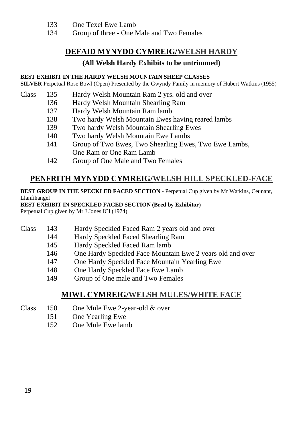- 133 One Texel Ewe Lamb
- 134 Group of three One Male and Two Females

#### **DEFAID MYNYDD CYMREIG/WELSH HARDY**

#### **(All Welsh Hardy Exhibits to be untrimmed)**

#### **BEST EXHIBIT IN THE HARDY WELSH MOUNTAIN SHEEP CLASSES**

**SILVER** Perpetual Rose Bowl (Open) Presented by the Gwyndy Family in memory of Hubert Watkins (1955)

- Class 135 Hardy Welsh Mountain Ram 2 yrs. old and over
	- 136 Hardy Welsh Mountain Shearling Ram
	- 137 Hardy Welsh Mountain Ram lamb
	- 138 Two hardy Welsh Mountain Ewes having reared lambs
	- 139 Two hardy Welsh Mountain Shearling Ewes
	- 140 Two hardy Welsh Mountain Ewe Lambs
	- 141 Group of Two Ewes, Two Shearling Ewes, Two Ewe Lambs, One Ram or One Ram Lamb
	- 142 Group of One Male and Two Females

#### **PENFRITH MYNYDD CYMREIG/WELSH HILL SPECKLED-FACE**

#### **BEST GROUP IN THE SPECKLED FACED SECTION -** Perpetual Cup given by Mr Watkins, Ceunant, Llanfihangel

#### **BEST EXHIBIT IN SPECKLED FACED SECTION (Bred by Exhibitor)**

Perpetual Cup given by Mr J Jones ICI (1974)

- Class 143 Hardy Speckled Faced Ram 2 years old and over
	- 144 Hardy Speckled Faced Shearling Ram
		- 145 Hardy Speckled Faced Ram lamb
		- 146 One Hardy Speckled Face Mountain Ewe 2 years old and over
		- 147 One Hardy Speckled Face Mountain Yearling Ewe
		- 148 One Hardy Speckled Face Ewe Lamb
		- 149 Group of One male and Two Females

#### **MIWL CYMREIG/WELSH MULES/WHITE FACE**

- Class 150 One Mule Ewe 2-year-old & over
	- 151 One Yearling Ewe
		- 152 One Mule Ewe lamb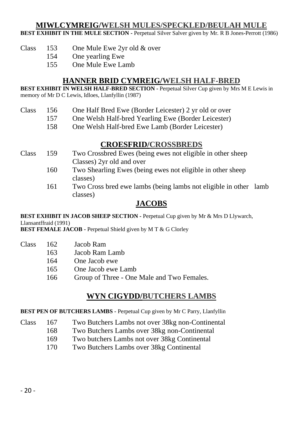#### **MIWLCYMREIG/WELSH MULES/SPECKLED/BEULAH MULE**

**BEST EXHIBIT IN THE MULE SECTION -** Perpetual Silver Salver given by Mr. R B Jones-Perrott (1986)

- Class 153 One Mule Ewe 2yr old & over
	- 154 One yearling Ewe
	- 155 One Mule Ewe Lamb

#### **HANNER BRID CYMREIG/WELSH HALF-BRED**

**BEST EXHIBIT IN WELSH HALF-BRED SECTION -** Perpetual Silver Cup given by Mrs M E Lewis in memory of Mr D C Lewis, Idloes, Llanfyllin (1987)

#### Class 156 One Half Bred Ewe (Border Leicester) 2 yr old or over

- 157 One Welsh Half-bred Yearling Ewe (Border Leicester)
	- 158 One Welsh Half-bred Ewe Lamb (Border Leicester)

#### **CROESFRID/CROSSBREDS**

- Class 159 Two Crossbred Ewes (being ewes not eligible in other sheep Classes) 2yr old and over
	- 160 Two Shearling Ewes (being ewes not eligible in other sheep classes)
	- 161 Two Cross bred ewe lambs (being lambs not eligible in other lamb classes)

#### **JACOBS**

**BEST EXHIBIT IN JACOB SHEEP SECTION -** Perpetual Cup given by Mr & Mrs D Llywarch, Llansantffraid (1991)

**BEST FEMALE JACOB -** Perpetual Shield given by M T & G Clorley

- Class 162 Jacob Ram
	- 163 **Jacob Ram Lamb**
	- 164 One Jacob ewe
	- 165 One Jacob ewe Lamb
	- 166 Group of Three One Male and Two Females.

#### **WYN CIGYDD/BUTCHERS LAMBS**

**BEST PEN OF BUTCHERS LAMBS -** Perpetual Cup given by Mr C Parry, Llanfyllin

- Class 167 Two Butchers Lambs not over 38kg non-Continental
	- 168 Two Butchers Lambs over 38kg non-Continental
	- 169 Two butchers Lambs not over 38kg Continental
	- 170 Two Butchers Lambs over 38kg Continental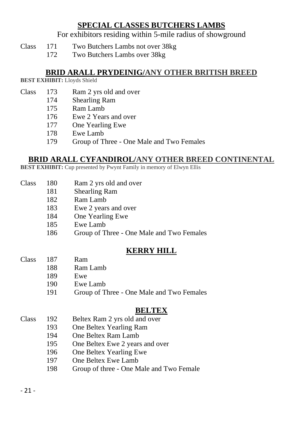#### **SPECIAL CLASSES BUTCHERS LAMBS**

For exhibitors residing within 5-mile radius of showground

- Class 171 Two Butchers Lambs not over 38kg
	- 172 Two Butchers Lambs over 38kg

#### **BRID ARALL PRYDEINIG/ANY OTHER BRITISH BREED**

**BEST EXHIBIT:** Lloyds Shield

- Class 173 Ram 2 yrs old and over
	- 174 Shearling Ram
		- 175 Ram Lamb
		- 176 Ewe 2 Years and over
		- 177 One Yearling Ewe
		- 178 Ewe Lamb
		- 179 Group of Three One Male and Two Females

#### **BRID ARALL CYFANDIROL/ANY OTHER BREED CONTINENTAL**

**BEST EXHIBIT:** Cup presented by Pwynt Family in memory of Elwyn Ellis

- Class 180 Ram 2 yrs old and over
	- 181 Shearling Ram
		- 182 Ram Lamb
		- 183 Ewe 2 years and over
		- 184 One Yearling Ewe
		- 185 Ewe Lamb
		- 186 Group of Three One Male and Two Females

#### **KERRY HILL**

- Class 187 Ram
	- 188 Ram Lamb
	- 189 Ewe
	- 190 Ewe Lamb
	- 191 Group of Three One Male and Two Females

#### **BELTEX**

- Class 192 Beltex Ram 2 yrs old and over
	- 193 One Beltex Yearling Ram
		- 194 One Beltex Ram Lamb
		- 195 One Beltex Ewe 2 years and over
		- 196 One Beltex Yearling Ewe
		- 197 One Beltex Ewe Lamb
		- 198 Group of three One Male and Two Female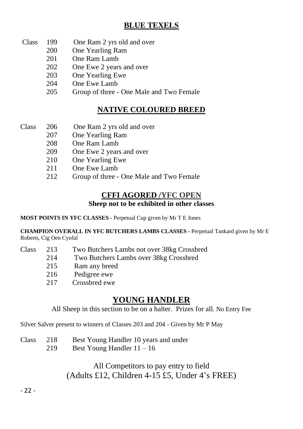#### **BLUE TEXELS**

- Class 199 One Ram 2 yrs old and over
	- 200 One Yearling Ram
	- 201 One Ram Lamb
	- 202 One Ewe 2 years and over
	- 203 One Yearling Ewe
	- 204 One Ewe Lamb
	- 205 Group of three One Male and Two Female

#### **NATIVE COLOURED BREED**

- Class 206 One Ram 2 yrs old and over
	- 207 One Yearling Ram
		- 208 One Ram Lamb
		- 209 One Ewe 2 years and over
		- 210 One Yearling Ewe
		- 211 One Ewe Lamb
		- 212 Group of three One Male and Two Female

#### **CFFI AGORED /YFC OPEN**

#### **Sheep not to be exhibited in other classes**

**MOST POINTS IN YFC CLASSES -** Perpetual Cup given by Mr T E Jones

**CHAMPION OVERALL IN YFC BUTCHERS LAMBS CLASSES -** Perpetual Tankard given by Mr E Roberts, Cig Oen Cynfal

- Class 213 Two Butchers Lambs not over 38kg Crossbred
	- 214 Two Butchers Lambs over 38kg Crossbred
		- 215 Ram any breed
		- 216 Pedigree ewe
		- 217 Crossbred ewe

#### **YOUNG HANDLER**

All Sheep in this section to be on a halter. Prizes for all. No Entry Fee

Silver Salver present to winners of Classes 203 and 204 - Given by Mr P May

- Class 218 Best Young Handler 10 years and under
	- 219 Best Young Handler 11 16

#### All Competitors to pay entry to field (Adults £12, Children 4-15 £5, Under 4's FREE)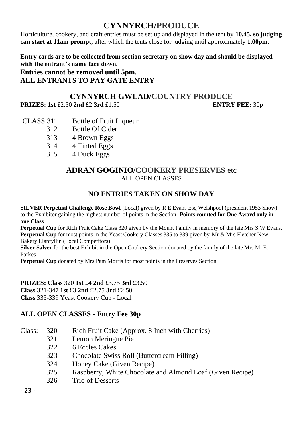#### **CYNNYRCH/PRODUCE**

Horticulture, cookery, and craft entries must be set up and displayed in the tent by **10.45, so judging can start at 11am prompt**, after which the tents close for judging until approximately **1.00pm.**

**Entry cards are to be collected from section secretary on show day and should be displayed with the entrant's name face down.**

**Entries cannot be removed until 5pm. ALL ENTRANTS TO PAY GATE ENTRY** 

#### **CYNNYRCH GWLAD/COUNTRY PRODUCE**

**PRIZES: 1st** £2.50 **2nd** £2 **3rd** £1.50 **ENTRY FEE:** 30p

- CLASS:311 Bottle of Fruit Liqueur
	- 312 Bottle Of Cider
	- 313 4 Brown Eggs
	- 314 4 Tinted Eggs
	- 315 4 Duck Eggs

#### **ADRAN GOGINIO/COOKERY PRESERVES** etc ALL OPEN CLASSES

#### **NO ENTRIES TAKEN ON SHOW DAY**

**SILVER Perpetual Challenge Rose Bowl** (Local) given by R E Evans Esq Welshpool (president 1953 Show) to the Exhibitor gaining the highest number of points in the Section. **Points counted for One Award only in one Class**

**Perpetual Cup** for Rich Fruit Cake Class 320 given by the Mount Family in memory of the late Mrs S W Evans. **Perpetual Cup** for most points in the Yeast Cookery Classes 335 to 339 given by Mr & Mrs Fletcher New Bakery Llanfyllin (Local Competitors)

**Silver Salver** for the best Exhibit in the Open Cookery Section donated by the family of the late Mrs M. E. Parkes

**Perpetual Cup** donated by Mrs Pam Morris for most points in the Preserves Section.

**PRIZES: Class** 320 **1st** £4 **2nd** £3.75 **3rd** £3.50 **Class** 321-347 **1st** £3 **2nd** £2.75 **3rd** £2.50 **Class** 335-339 Yeast Cookery Cup - Local

#### **ALL OPEN CLASSES - Entry Fee 30p**

- Class: 320 Rich Fruit Cake (Approx. 8 Inch with Cherries)
	- 321 Lemon Meringue Pie
	- 322 6 Eccles Cakes
	- 323 Chocolate Swiss Roll (Buttercream Filling)
	- 324 Honey Cake (Given Recipe)
	- 325 Raspberry, White Chocolate and Almond Loaf (Given Recipe)
	- 326 Trio of Desserts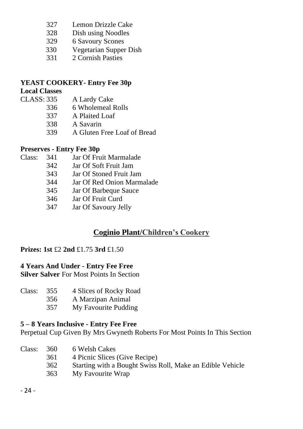- 327 Lemon Drizzle Cake
- 328 Dish using Noodles<br>329 6 Savoury Scones
- 6 Savoury Scones
- 330 Vegetarian Supper Dish
- 331 2 Cornish Pasties

#### **YEAST COOKERY- Entry Fee 30p**

# **Local Classes**

- A Lardy Cake
	- 336 6 Wholemeal Rolls
	- 337 A Plaited Loaf
	- 338 A Savarin
	- 339 A Gluten Free Loaf of Bread

#### **Preserves - Entry Fee 30p**

- Class: 341 Jar Of Fruit Marmalade
	-
	- 342 Jar Of Soft Fruit Jam Jar Of Stoned Fruit Jam
	- 344 Jar Of Red Onion Marmalade
	- 345 Jar Of Barbeque Sauce<br>346 Jar Of Fruit Curd
	- Jar Of Fruit Curd
	- 347 Jar Of Savoury Jelly

#### **Coginio Plant/Children's Cookery**

#### **Prizes: 1st** £2 **2nd** £1.75 **3rd** £1.50

#### **4 Years And Under - Entry Fee Free**

**Silver Salver** For Most Points In Section

- Class: 355 4 Slices of Rocky Road
	- 356 A Marzipan Animal
		- 357 My Favourite Pudding

#### **5 – 8 Years Inclusive - Entry Fee Free**

Perpetual Cup Given By Mrs Gwyneth Roberts For Most Points In This Section

| Class: | 360 | 6 Welsh Cakes                                             |
|--------|-----|-----------------------------------------------------------|
|        | 361 | 4 Picnic Slices (Give Recipe)                             |
|        | 362 | Starting with a Bought Swiss Roll, Make an Edible Vehicle |
|        | 363 | My Favourite Wrap                                         |
|        |     |                                                           |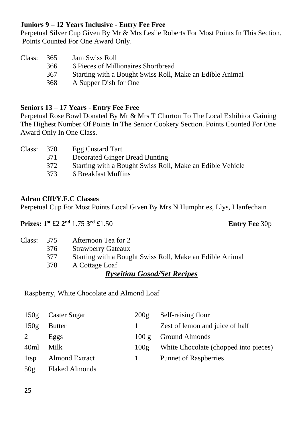#### **Juniors 9 – 12 Years Inclusive - Entry Fee Free**

Perpetual Silver Cup Given By Mr & Mrs Leslie Roberts For Most Points In This Section. Points Counted For One Award Only.

| Class: | 365  | Jam Swiss Roll                                           |
|--------|------|----------------------------------------------------------|
|        | 366. | 6 Pieces of Millionaires Shortbread                      |
|        | 367  | Starting with a Bought Swiss Roll, Make an Edible Animal |
|        | 368  | A Supper Dish for One                                    |

#### **Seniors 13 – 17 Years - Entry Fee Free**

Perpetual Rose Bowl Donated By Mr & Mrs T Churton To The Local Exhibitor Gaining The Highest Number Of Points In The Senior Cookery Section. Points Counted For One Award Only In One Class.

| Class: 370 |     | Egg Custard Tart                                          |
|------------|-----|-----------------------------------------------------------|
|            | 371 | Decorated Ginger Bread Bunting                            |
|            | 372 | Starting with a Bought Swiss Roll, Make an Edible Vehicle |
|            | 373 | 6 Breakfast Muffins                                       |
|            |     |                                                           |

#### **Adran Cffl/Y.F.C Classes**

Perpetual Cup For Most Points Local Given By Mrs N Humphries, Llys, Llanfechain

**Prizes: 1st** £2 **2 nd** 1.75 **3**

#### **Entry Fee 30p**

|            |     | <b>Ryseitiau Gosod/Set Recipes</b>                       |  |  |
|------------|-----|----------------------------------------------------------|--|--|
|            | 378 | A Cottage Loaf                                           |  |  |
|            | 377 | Starting with a Bought Swiss Roll, Make an Edible Animal |  |  |
|            | 376 | <b>Strawberry Gateaux</b>                                |  |  |
| Class: 375 |     | Afternoon Tea for 2                                      |  |  |

Raspberry, White Chocolate and Almond Loaf

| 150g            | Caster Sugar          | 200g         | Self-raising flour                    |
|-----------------|-----------------------|--------------|---------------------------------------|
| 150g            | <b>Butter</b>         | $\mathbf{1}$ | Zest of lemon and juice of half       |
| 2               | Eggs                  | 100g         | Ground Almonds                        |
| 40ml            | Milk                  | 100g         | White Chocolate (chopped into pieces) |
| 1tsp            | Almond Extract        |              | <b>Punnet of Raspberries</b>          |
| 50 <sub>g</sub> | <b>Flaked Almonds</b> |              |                                       |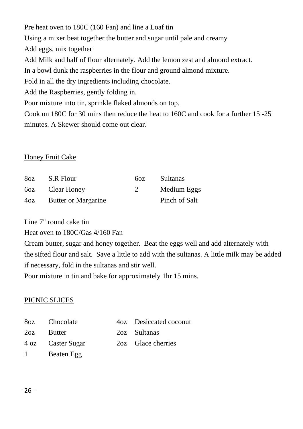Pre heat oven to 180C (160 Fan) and line a Loaf tin Using a mixer beat together the butter and sugar until pale and creamy Add eggs, mix together Add Milk and half of flour alternately. Add the lemon zest and almond extract. In a bowl dunk the raspberries in the flour and ground almond mixture. Fold in all the dry ingredients including chocolate. Add the Raspberries, gently folding in. Pour mixture into tin, sprinkle flaked almonds on top. Cook on 180C for 30 mins then reduce the heat to 160C and cook for a further 15 -25

minutes. A Skewer should come out clear.

#### Honey Fruit Cake

| 8oz | S.R Flour           | 60Z.                        | Sultanas      |
|-----|---------------------|-----------------------------|---------------|
|     | 60z Clear Honey     | $\mathcal{D}_{\mathcal{L}}$ | Medium Eggs   |
| 4oz | Butter or Margarine |                             | Pinch of Salt |

Line 7" round cake tin

Heat oven to 180C/Gas 4/160 Fan

Cream butter, sugar and honey together. Beat the eggs well and add alternately with the sifted flour and salt. Save a little to add with the sultanas. A little milk may be added if necessary, fold in the sultanas and stir well.

Pour mixture in tin and bake for approximately 1hr 15 mins.

#### PICNIC SLICES

|     | 80z Chocolate     | 4oz Desiccated coconut |
|-----|-------------------|------------------------|
| 2oz | <b>Butter</b>     | 202 Sultanas           |
|     | 4 oz Caster Sugar | 2oz Glace cherries     |
|     | 1 Beaten Egg      |                        |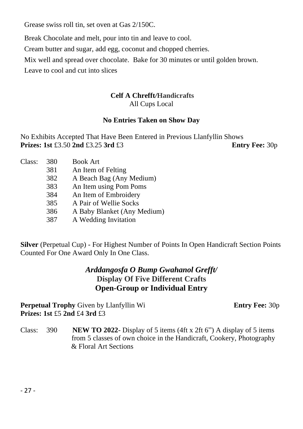Grease swiss roll tin, set oven at Gas 2/150C.

Break Chocolate and melt, pour into tin and leave to cool.

Cream butter and sugar, add egg, coconut and chopped cherries.

Mix well and spread over chocolate. Bake for 30 minutes or until golden brown.

Leave to cool and cut into slices

#### **Celf A Chrefft***/***Handicrafts** All Cups Local

#### **No Entries Taken on Show Day**

No Exhibits Accepted That Have Been Entered in Previous Llanfyllin Shows **Prizes: 1st** £3.50 **2nd** £3.25 **3rd** £3 **Entry Fee:** 30p

| Class: | 380 | <b>Book Art</b>             |
|--------|-----|-----------------------------|
|        | 381 | An Item of Felting          |
|        | 382 | A Beach Bag (Any Medium)    |
|        | 383 | An Item using Pom Poms      |
|        | 384 | An Item of Embroidery       |
|        | 385 | A Pair of Wellie Socks      |
|        | 386 | A Baby Blanket (Any Medium) |
|        | 387 | A Wedding Invitation        |

**Silver** (Perpetual Cup) - For Highest Number of Points In Open Handicraft Section Points Counted For One Award Only In One Class.

#### *Arddangosfa O Bump Gwahanol Grefft/* **Display Of Five Different Crafts Open-Group or Individual Entry**

**Perpetual Trophy** Given by Llanfyllin Wi **Entry Fee:** 30p **Prizes: 1st** £5 **2nd** £4 **3rd** £3

Class: 390 **NEW TO 2022**- Display of 5 items (4ft x 2ft 6") A display of 5 items from 5 classes of own choice in the Handicraft, Cookery, Photography & & Floral Art Sections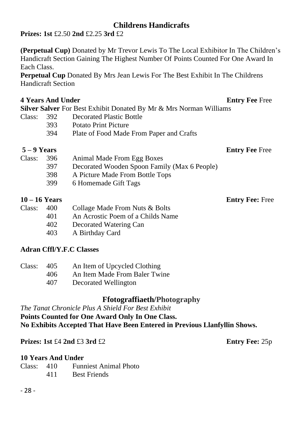#### **Childrens Handicrafts**

**Prizes: 1st** £2.50 **2nd** £2.25 **3rd** £2

**(Perpetual Cup)** Donated by Mr Trevor Lewis To The Local Exhibitor In The Children's Handicraft Section Gaining The Highest Number Of Points Counted For One Award In Each Class.

**Perpetual Cup** Donated By Mrs Jean Lewis For The Best Exhibit In The Childrens Handicraft Section

#### **4 Years And Under Secure 2018 19:30 Secure 2018 19:40 Secure 2018 19:40 Free Free**

**Silver Salver** For Best Exhibit Donated By Mr & Mrs Norman Williams

- Class: 392 Decorated Plastic Bottle
	- 393 Potato Print Picture<br>394 Plate of Food Made
		- Plate of Food Made From Paper and Crafts

**5 – 9 Years Entry Fee** Free

| Class: | 396  | Animal Made From Egg Boxes                   |
|--------|------|----------------------------------------------|
|        | 397  | Decorated Wooden Spoon Family (Max 6 People) |
|        | 398. | A Picture Made From Bottle Tops              |
|        | 399  | 6 Homemade Gift Tags                         |
|        |      |                                              |

#### **10 – 16 Years Entry Fee:** Free

| Class: | 400  | Collage Made From Nuts & Bolts    |
|--------|------|-----------------------------------|
|        | 401  | An Acrostic Poem of a Childs Name |
|        | 402  | Decorated Watering Can            |
|        | 403. | A Birthday Card                   |

#### **Adran Cffl/Y.F.C Classes**

| Class: | 405 | An Item of Upcycled Clothing  |
|--------|-----|-------------------------------|
|        | 406 | An Item Made From Baler Twine |
|        | 407 | Decorated Wellington          |

#### **Ffotograffiaeth/Photography**

*The Tanat Chronicle Plus A Shield For Best Exhibit* **Points Counted for One Award Only In One Class. No Exhibits Accepted That Have Been Entered in Previous Llanfyllin Shows.**

**Prizes: 1st** £4 **2nd** £3 **3rd** £2 **Entry Fee:** 25p

#### **10 Years And Under**

| Class: 410 |     | <b>Funniest Animal Photo</b> |
|------------|-----|------------------------------|
|            | 411 | <b>Best Friends</b>          |

- 28 -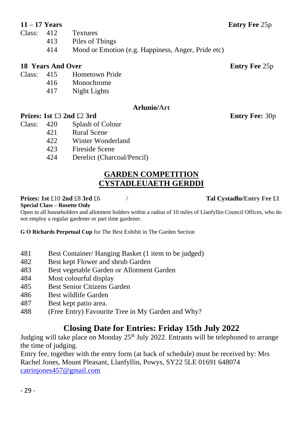- Class: 412 Textures
	- 413 Piles of Things
		- 414 Mood or Emotion (e.g. Happiness, Anger, Pride etc)

#### **18 Years And Over 18 Years And Over**

- Class: 415 Hometown Pride
	- 416 Monochrome
		- 417 Night Lights

#### **Arlunio/Art**

#### **Prizes:** 1st £3 2nd £2 3rd Entry Fee: 30p

#### Class: 420 Splash of Colour

- 421 Rural Scene
- 422 Winter Wonderland<br>423 Eireside Scene
- 423 Fireside Scene
- 424 Derelict (Charcoal/Pencil)

#### **GARDEN COMPETITION CYSTADLEUAETH GERDDI**

#### **Prizes: 1st** £10 **2nd** £8 **3rd** £6 / **Tal Cystadlu/Entry Fee £1**

#### **Special Class – Rosette Only**

Open to all householders and allotment holders within a radius of 10 miles of Llanfyllin Council Offices, who do not employ a regular gardener or part time gardener.

**G O Richards Perpetual Cup** for The Best Exhibit in The Garden Section

- 481 Best Container/ Hanging Basket (1 item to be judged)
- 482 Best kept Flower and shrub Garden
- 483 Best vegetable Garden or Allotment Garden
- 484 Most colourful display
- 485 Best Senior Citizens Garden
- 486 Best wildlife Garden
- 487 Best kept patio area.
- 488 (Free Entry) Favourite Tree in My Garden and Why?

## **Closing Date for Entries: Friday 15th July 2022**

Judging will take place on Monday 25<sup>th</sup> July 2022. Entrants will be telephoned to arrange the time of judging.

Entry fee, together with the entry form (at back of schedule) must be received by: Mrs Rachel Jones, Mount Pleasant, Llanfyllin, Powys, SY22 5LE 01691 648074 [catrinjones457@gmail.com](mailto:catrinjones457@gmail.com)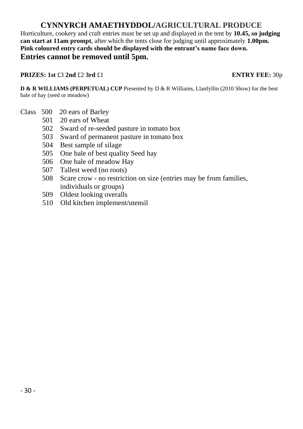#### **CYNNYRCH AMAETHYDDOL/AGRICULTURAL PRODUCE**

Horticulture, cookery and craft entries must be set up and displayed in the tent by **10.45, so judging can start at 11am prompt**, after which the tents close for judging until approximately **1.00pm. Pink coloured entry cards should be displayed with the entrant's name face down. Entries cannot be removed until 5pm.**

#### **PRIZES:** 1st £3 2nd £2 3rd £1 **ENTRY FEE:** 30p

**D & R WILLIAMS (PERPETUAL) CUP Presented by D & R Williams, Llanfyllin (2010 Show) for the best** bale of hay (seed or meadow)

- Class 500 20 ears of Barley
	- 501 20 ears of Wheat
	- 502 Sward of re-seeded pasture in tomato box
	- 503 Sward of permanent pasture in tomato box
	- 504 Best sample of silage
	- 505 One bale of best quality Seed hay
	- 506 One bale of meadow Hay
	- 507 Tallest weed (no roots)
	- 508 Scare crow no restriction on size (entries may be from families, individuals or groups)
	- 509 Oldest looking overalls
	- 510 Old kitchen implement/utensil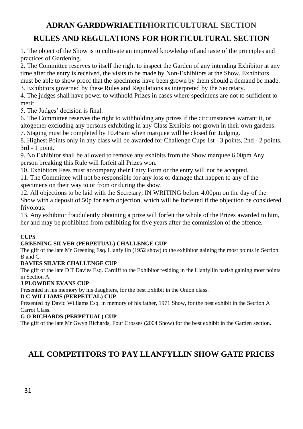# **ADRAN GARDDWRIAETH/HORTICULTURAL SECTION RULES AND REGULATIONS FOR HORTICULTURAL SECTION**

1. The object of the Show is to cultivate an improved knowledge of and taste of the principles and practices of Gardening.

2. The Committee reserves to itself the right to inspect the Garden of any intending Exhibitor at any time after the entry is received, the visits to be made by Non-Exhibitors at the Show. Exhibitors must be able to show proof that the specimens have been grown by them should a demand be made.

3. Exhibitors governed by these Rules and Regulations as interpreted by the Secretary.

4. The judges shall have power to withhold Prizes in cases where specimens are not to sufficient to merit.

5. The Judges' decision is final.

6. The Committee reserves the right to withholding any prizes if the circumstances warrant it, or altogether excluding any persons exhibiting in any Class Exhibits not grown in their own gardens. 7. Staging must be completed by 10.45am when marquee will be closed for Judging.

8. Highest Points only in any class will be awarded for Challenge Cups 1st - 3 points, 2nd - 2 points, 3rd - 1 point.

9. No Exhibitor shall be allowed to remove any exhibits from the Show marquee 6.00pm Any person breaking this Rule will forfeit all Prizes won.

10. Exhibitors Fees must accompany their Entry Form or the entry will not be accepted.

11. The Committee will not be responsible for any loss or damage that happen to any of the specimens on their way to or from or during the show.

12. All objections to be laid with the Secretary, IN WRITING before 4.00pm on the day of the Show with a deposit of 50p for each objection, which will be forfeited if the objection be considered frivolous.

13. Any exhibitor fraudulently obtaining a prize will forfeit the whole of the Prizes awarded to him, her and may be prohibited from exhibiting for five years after the commission of the offence.

#### **CUPS**

#### **GREENING SILVER (PERPETUAL) CHALLENGE CUP**

The gift of the late Mr Greening Esq. Llanfyllin (1952 show) to the exhibitor gaining the most points in Section B and C.

#### **DAVIES SILVER CHALLENGE CUP**

The gift of the late D T Davies Esq. Cardiff to the Exhibitor residing in the Llanfyllin parish gaining most points in Section A.

#### **J PLOWDEN EVANS CUP**

Presented in his memory by his daughters, for the best Exhibit in the Onion class.

#### **D C WILLIAMS (PERPETUAL) CUP**

Presented by David Williams Esq. in memory of his father, 1971 Show, for the best exhibit in the Section A Carrot Class.

#### **G O RICHARDS (PERPETUAL) CUP**

The gift of the late Mr Gwyn Richards, Four Crosses (2004 Show) for the best exhibit in the Garden section.

#### **ALL COMPETITORS TO PAY LLANFYLLIN SHOW GATE PRICES**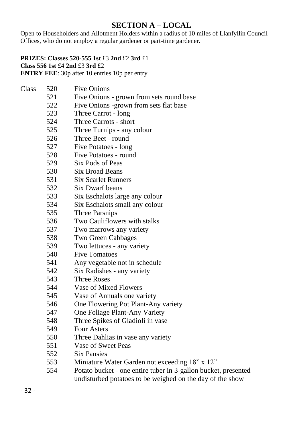#### **SECTION A – LOCAL**

Open to Householders and Allotment Holders within a radius of 10 miles of Llanfyllin Council Offices, who do not employ a regular gardener or part-time gardener.

#### **PRIZES: Classes 520-555 1st** £3 **2nd** £2 **3rd** £1 **Class 556 1st** £4 **2nd** £3 **3rd** £2

**ENTRY FEE**: 30p after 10 entries 10p per entry

| Class | 520 | <b>Five Onions</b>                                             |
|-------|-----|----------------------------------------------------------------|
|       | 521 | Five Onions - grown from sets round base                       |
|       | 522 | Five Onions -grown from sets flat base                         |
|       | 523 | Three Carrot - long                                            |
|       | 524 | Three Carrots - short                                          |
|       | 525 | Three Turnips - any colour                                     |
|       | 526 | Three Beet - round                                             |
|       | 527 | Five Potatoes - long                                           |
|       | 528 | Five Potatoes - round                                          |
|       | 529 | Six Pods of Peas                                               |
|       | 530 | <b>Six Broad Beans</b>                                         |
|       | 531 | <b>Six Scarlet Runners</b>                                     |
|       | 532 | Six Dwarf beans                                                |
|       | 533 | Six Eschalots large any colour                                 |
|       | 534 | Six Eschalots small any colour                                 |
|       | 535 | Three Parsnips                                                 |
|       | 536 | Two Cauliflowers with stalks                                   |
|       | 537 | Two marrows any variety                                        |
|       | 538 | Two Green Cabbages                                             |
|       | 539 | Two lettuces - any variety                                     |
|       | 540 | <b>Five Tomatoes</b>                                           |
|       | 541 | Any vegetable not in schedule                                  |
|       | 542 | Six Radishes - any variety                                     |
|       | 543 | <b>Three Roses</b>                                             |
|       | 544 | Vase of Mixed Flowers                                          |
|       | 545 | Vase of Annuals one variety                                    |
|       | 546 | One Flowering Pot Plant-Any variety                            |
|       | 547 | One Foliage Plant-Any Variety                                  |
|       | 548 | Three Spikes of Gladioli in vase                               |
|       | 549 | <b>Four Asters</b>                                             |
|       | 550 | Three Dahlias in vase any variety                              |
|       | 551 | Vase of Sweet Peas                                             |
|       | 552 | <b>Six Pansies</b>                                             |
|       | 553 | Miniature Water Garden not exceeding 18" x 12"                 |
|       | 554 | Potato bucket - one entire tuber in 3-gallon bucket, presented |
|       |     | undisturbed potatoes to be weighed on the day of the show      |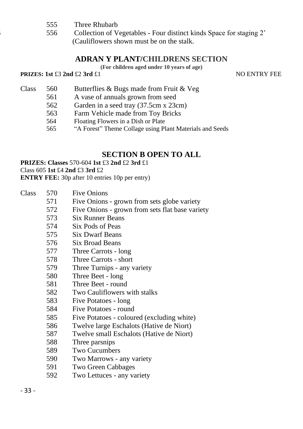- 555 Three Rhubarb
- 556 556 Collection of Vegetables Four distinct kinds Space for staging 2' (Cauliflowers shown must be on the stalk.

#### **ADRAN Y PLANT/CHILDRENS SECTION**

**(For children aged under 10 years of age)**

#### **PRIZES: 1st** £3 **2nd** £2 **3rd** £1 NO ENTRY FEE

- Class 560 Butterflies & Bugs made from Fruit & Veg
	- 561 A vase of annuals grown from seed
	- 562 Garden in a seed tray (37.5cm x 23cm)
	- 563 Farm Vehicle made from Toy Bricks
	- 564 Floating Flowers in a Dish or Plate<br>565 "A Forest" Theme Collage using P
	- 565 "A Forest" Theme Collage using Plant Materials and Seeds

#### **SECTION B OPEN TO ALL**

**PRIZES: Classes** 570-604 **1st** £3 **2nd** £2 **3rd** £1

Class 605 **1st** £4 **2nd** £3 **3rd** £2

**ENTRY FEE:** 30p after 10 entries 10p per entry)

- 571 Five Onions grown from sets globe variety
	- 572 Five Onions grown from sets flat base variety
	- 573 Six Runner Beans
	- 574 Six Pods of Peas
	- 575 Six Dwarf Beans
	- 576 Six Broad Beans
	- 577 Three Carrots long
	- 578 Three Carrots short
	- 579 Three Turnips any variety
	- 580 Three Beet long
	- 581 Three Beet round
	- 582 Two Cauliflowers with stalks
	- 583 Five Potatoes long
	- 584 Five Potatoes round
	- 585 Five Potatoes coloured (excluding white)
	- 586 Twelve large Eschalots (Hative de Niort)
	- 587 Twelve small Eschalots (Hative de Niort)
	- 588 Three parsnips
	- 589 Two Cucumbers
	- 590 Two Marrows any variety
	- 591 Two Green Cabbages
	- 592 Two Lettuces any variety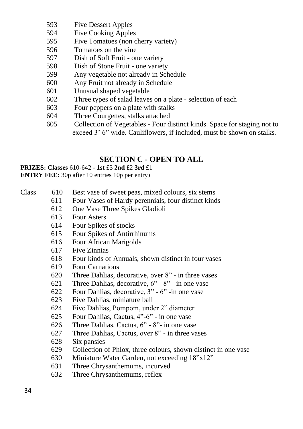- 593 Five Dessert Apples
- 594 Five Cooking Apples<br>595 Five Tomatoes (non c
- Five Tomatoes (non cherry variety)
- 596 Tomatoes on the vine
- 597 Dish of Soft Fruit one variety
- 598 Dish of Stone Fruit one variety
- 599 Any vegetable not already in Schedule
- 600 Any Fruit not already in Schedule
- 601 Unusual shaped vegetable
- 602 Three types of salad leaves on a plate selection of each
- 603 Four peppers on a plate with stalks
- 604 Three Courgettes, stalks attached
- 605 Collection of Vegetables Four distinct kinds. Space for staging not to exceed 3' 6" wide. Cauliflowers, if included, must be shown on stalks.

#### **SECTION C - OPEN TO ALL**

# **PRIZES: Classes** 610-642 **- 1st** £3 **2nd** £2 **3rd** £1

**ENTRY FEE:** 30p after 10 entries 10p per entry)

- Class 610 Best vase of sweet peas, mixed colours, six stems
	- 611 Four Vases of Hardy perennials, four distinct kinds
	- 612 One Vase Three Spikes Gladioli
	- 613 Four Asters
	- 614 Four Spikes of stocks
	- 615 Four Spikes of Antirrhinums
	- 616 Four African Marigolds
	- 617 Five Zinnias
	- 618 Four kinds of Annuals, shown distinct in four vases
	- 619 Four Carnations
	- 620 Three Dahlias, decorative, over 8" in three vases
	- 621 Three Dahlias, decorative, 6" 8" in one vase
	- 622 Four Dahlias, decorative, 3" 6" -in one vase
	- 623 Five Dahlias, miniature ball
	-
	- 624 Five Dahlias, Pompom, under 2" diameter<br>625 Four Dahlias, Cactus, 4"-6" in one vase 625 Four Dahlias, Cactus, 4"-6" - in one vase
	- 626 Three Dahlias, Cactus, 6" 8"- in one vase
	- 627 Three Dahlias, Cactus, over 8" in three vases
	- 628 Six pansies
	- 629 Collection of Phlox, three colours, shown distinct in one vase
	- 630 Miniature Water Garden, not exceeding 18"x12"
	- 631 Three Chrysanthemums, incurved
	- 632 Three Chrysanthemums, reflex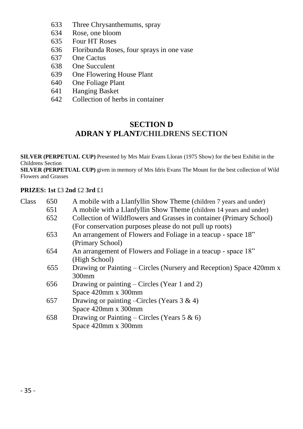- 633 Three Chrysanthemums, spray
- 634 Rose, one bloom<br>635 Four HT Roses
- Four HT Roses
- 636 Floribunda Roses, four sprays in one vase
- 637 One Cactus
- 638 One Succulent<br>639 One Flowering
- One Flowering House Plant
- 640 One Foliage Plant
- 641 Hanging Basket<br>642 Collection of her
- Collection of herbs in container

#### **SECTION D ADRAN Y PLANT/CHILDRENS SECTION**

**SILVER (PERPETUAL CUP)** Presented by Mrs Mair Evans Lloran (1975 Show) for the best Exhibit in the Childrens Section

**SILVER (PERPETUAL CUP)** given in memory of Mrs Idris Evans The Mount for the best collection of Wild Flowers and Grasses

#### **PRIZES: 1st** £3 **2nd** £2 **3rd** £1

| Class | 650 | A mobile with a Llanfyllin Show Theme (children 7 years and under)  |
|-------|-----|---------------------------------------------------------------------|
|       | 651 | A mobile with a Llanfyllin Show Theme (children 14 years and under) |
|       | 652 | Collection of Wildflowers and Grasses in container (Primary School) |
|       |     | (For conservation purposes please do not pull up roots)             |
|       | 653 | An arrangement of Flowers and Foliage in a teacup - space 18"       |
|       |     | (Primary School)                                                    |
|       | 654 | An arrangement of Flowers and Foliage in a teacup - space 18"       |
|       |     | (High School)                                                       |
|       | 655 | Drawing or Painting – Circles (Nursery and Reception) Space 420mm x |
|       |     | $300$ mm                                                            |
|       | 656 | Drawing or painting – Circles (Year 1 and 2)                        |
|       |     | Space 420mm x 300mm                                                 |
|       | 657 | Drawing or painting –Circles (Years $3 \& 4$ )                      |
|       |     | Space 420mm x 300mm                                                 |
|       | 658 | Drawing or Painting – Circles (Years 5 & 6)                         |
|       |     | Space 420mm x 300mm                                                 |
|       |     |                                                                     |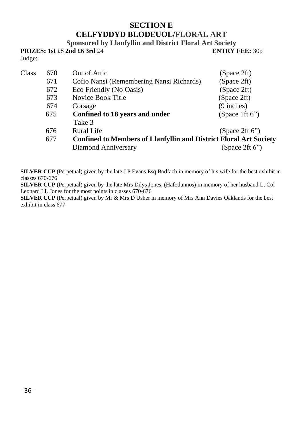#### **SECTION E CELFYDDYD BLODEUOL/FLORAL ART**

**Sponsored by Llanfyllin and District Floral Art Society**

|        | <b>PRIZES: 1st £8 2nd £6 3rd £4</b> |  | <b>ENTRY FEE: 30p</b> |
|--------|-------------------------------------|--|-----------------------|
| Judge: |                                     |  |                       |

| Class | 670 | Out of Attic                                                             | (Space 2ft)       |
|-------|-----|--------------------------------------------------------------------------|-------------------|
|       | 671 | Cofio Nansi (Remembering Nansi Richards)                                 | (Space 2ft)       |
|       | 672 | Eco Friendly (No Oasis)                                                  | (Space 2ft)       |
|       | 673 | Novice Book Title                                                        | (Space 2ft)       |
|       | 674 | Corsage                                                                  | $(9$ inches)      |
|       | 675 | Confined to 18 years and under                                           | (Space 1ft $6$ ") |
|       |     | Take 3                                                                   |                   |
|       | 676 | Rural Life                                                               | (Space 2ft $6$ ") |
|       | 677 | <b>Confined to Members of Llanfyllin and District Floral Art Society</b> |                   |
|       |     | Diamond Anniversary                                                      | (Space 2ft $6$ ") |

**SILVER CUP** (Perpetual) given by the late J P Evans Esq Bodfach in memory of his wife for the best exhibit in classes 670-676

**SILVER CUP** (Perpetual) given by the late Mrs Dilys Jones, (Hafodunnos) in memory of her husband Lt Col Leonard LL Jones for the most points in classes 670-676

**SILVER CUP** (Perpetual) given by Mr & Mrs D Usher in memory of Mrs Ann Davies Oaklands for the best exhibit in class 677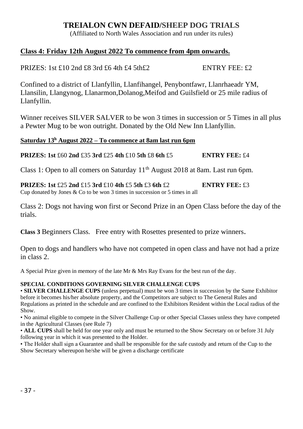#### **TREIALON CWN DEFAID/SHEEP DOG TRIALS**

(Affiliated to North Wales Association and run under its rules)

#### **Class 4: Friday 12th August 2022 To commence from 4pm onwards.**

PRIZES: 1st  $\pounds$ 10 2nd  $\pounds$ 8 3rd  $\pounds$ 6 4th  $\pounds$ 4 5th $\pounds$ 2 ENTRY FEE:  $\pounds$ 2

Confined to a district of Llanfyllin, Llanfihangel, Penybontfawr, Llanrhaeadr YM, Llansilin, Llangynog, Llanarmon,Dolanog,Meifod and Guilsfield or 25 mile radius of Llanfyllin.

Winner receives SILVER SALVER to be won 3 times in succession or 5 Times in all plus a Pewter Mug to be won outright. Donated by the Old New Inn Llanfyllin.

#### **Saturday 13 <sup>h</sup> August 2022 – To commence at 8am last run 6pm**

**PRIZES: 1st** £60 **2nd** £35 **3rd** £25 **4th** £10 **5th** £8 **6th** £5 **ENTRY FEE:** £4

Class 1: Open to all comers on Saturday 11<sup>th</sup> August 2018 at 8am. Last run 6pm.

**PRIZES: 1st** £25 **2nd** £15 **3rd** £10 **4th** £5 **5th** £3 **6th** £2 **ENTRY FEE:** £3 Cup donated by Jones & Co to be won 3 times in succession or 5 times in all

Class 2: Dogs not having won first or Second Prize in an Open Class before the day of the trials.

**Class 3** Beginners Class. Free entry with Rosettes presented to prize winners.

Open to dogs and handlers who have not competed in open class and have not had a prize in class 2.

A Special Prize given in memory of the late Mr & Mrs Ray Evans for the best run of the day.

#### **SPECIAL CONDITIONS GOVERNING SILVER CHALLENGE CUPS**

• **SILVER CHALLENGE CUPS** (unless perpetual) must be won 3 times in succession by the Same Exhibitor before it becomes his/her absolute property, and the Competitors are subject to The General Rules and Regulations as printed in the schedule and are confined to the Exhibitors Resident within the Local radius of the Show.

• No animal eligible to compete in the Silver Challenge Cup or other Special Classes unless they have competed in the Agricultural Classes (see Rule 7)

• **ALL CUPS** shall be held for one year only and must be returned to the Show Secretary on or before 31 July following year in which it was presented to the Holder.

• The Holder shall sign a Guarantee and shall be responsible for the safe custody and return of the Cup to the Show Secretary whereupon he/she will be given a discharge certificate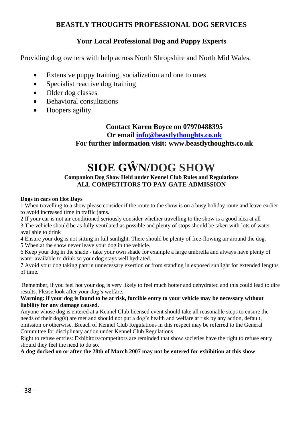#### **BEASTLY THOUGHTS PROFESSIONAL DOG SERVICES**

#### **Your Local Professional Dog and Puppy Experts**

Providing dog owners with help across North Shropshire and North Mid Wales.

- Extensive puppy training, socialization and one to ones
- Specialist reactive dog training
- Older dog classes
- Behavioral consultations
- Hoopers agility

#### **Contact Karen Boyce on 07970488395 Or emai[l info@beastlythoughts.co.uk](mailto:info@beastlythoughts.co.uk)**

**For further information visit: www.beastlythoughts.co.uk**

# **SIOE GŴN/DOG SHOW**

#### **Companion Dog Show Held under Kennel Club Rules and Regulations ALL COMPETITORS TO PAY GATE ADMISSION**

#### **Dogs in cars on Hot Days**

1 When travelling to a show please consider if the route to the show is on a busy holiday route and leave earlier to avoid increased time in traffic jams.

2 If your car is not air conditioned seriously consider whether travelling to the show is a good idea at all 3 The vehicle should be as fully ventilated as possible and plenty of stops should be taken with lots of water available to drink

4 Ensure your dog is not sitting in full sunlight. There should be plenty of free-flowing air around the dog.

5 When at the show never leave your dog in the vehicle.

6 Keep your dog in the shade - take your own shade for example a large umbrella and always have plenty of water available to drink so your dog stays well hydrated.

7 Avoid your dog taking part in unnecessary exertion or from standing in exposed sunlight for extended lengths of time.

Remember, if you feel hot your dog is very likely to feel much hotter and dehydrated and this could lead to dire results. Please look after your dog's welfare.

#### **Warning: if your dog is found to be at risk, forcible entry to your vehicle may be necessary without liability for any damage caused.**

Anyone whose dog is entered at a Kennel Club licensed event should take all reasonable steps to ensure the needs of their dog(s) are met and should not put a dog's health and welfare at risk by any action, default, omission or otherwise. Breach of Kennel Club Regulations in this respect may be referred to the General Committee for disciplinary action under Kennel Club Regulations

Right to refuse entries: Exhibitors/competitors are reminded that show societies have the right to refuse entry should they feel the need to do so.

**A dog docked on or after the 28th of March 2007 may not be entered for exhibition at this show**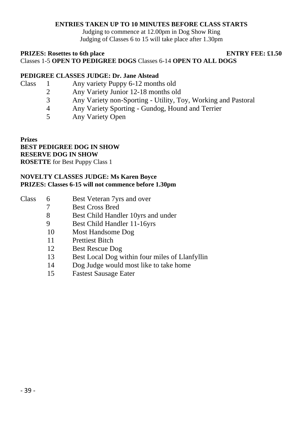#### **ENTRIES TAKEN UP TO 10 MINUTES BEFORE CLASS STARTS**

Judging to commence at 12.00pm in Dog Show Ring Judging of Classes 6 to 15 will take place after 1.30pm

#### **PRIZES:** Rosettes to 6th place **ENTRY FEE:** £1.50 Classes 1-5 **OPEN TO PEDIGREE DOGS** Classes 6-14 **OPEN TO ALL DOGS**

#### **PEDIGREE CLASSES JUDGE: Dr. Jane Alstead**

- Class 1 Any variety Puppy 6-12 months old 2 Any Variety Junior 12-18 months old 3 Any Variety non-Sporting - Utility, Toy, Working and Pastoral
	- 4 Any Variety Sporting Gundog, Hound and Terrier
	- 5 Any Variety Open

**Prizes BEST PEDIGREE DOG IN SHOW RESERVE DOG IN SHOW ROSETTE** for Best Puppy Class 1

#### **NOVELTY CLASSES JUDGE: Ms Karen Boyce PRIZES: Classes 6-15 will not commence before 1.30pm**

| <b>Class</b><br>Best Veteran 7yrs and over |  |
|--------------------------------------------|--|
|--------------------------------------------|--|

- 7 Best Cross Bred
- 8 Best Child Handler 10yrs and under
- 9 Best Child Handler 11-16yrs
- 10 Most Handsome Dog
- 11 Prettiest Bitch
- 12 Best Rescue Dog
- 13 Best Local Dog within four miles of Llanfyllin
- 14 Dog Judge would most like to take home
- 15 Fastest Sausage Eater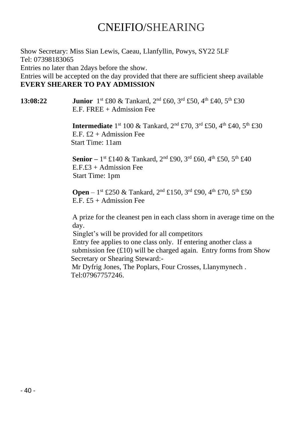# CNEIFIO/SHEARING

Show Secretary: Miss Sian Lewis, Caeau, Llanfyllin, Powys, SY22 5LF Tel: 07398183065 Entries no later than 2days before the show.

Entries will be accepted on the day provided that there are sufficient sheep available **EVERY SHEARER TO PAY ADMISSION**

#### **13:08:22 Junior** 1<sup>st</sup> £80 & Tankard, 2<sup>nd</sup> £60, 3<sup>rd</sup> £50, 4<sup>th</sup> £40, 5<sup>th</sup> £30 E.F. FREE + Admission Fee

**Intermediate** 1<sup>st</sup> 100 & Tankard, 2<sup>nd</sup> £70, 3<sup>rd</sup> £50, 4<sup>th</sup> £40, 5<sup>th</sup> £30 E.F.  $f2 +$  Admission Fee. Start Time: 11am

**Senior** – 1<sup>st</sup> £140 & Tankard, 2<sup>nd</sup> £90, 3<sup>rd</sup> £60, 4<sup>th</sup> £50, 5<sup>th</sup> £40 E.F.£3 + Admission Fee Start Time: 1pm

**Open** – 1<sup>st</sup> £250 & Tankard, 2<sup>nd</sup> £150, 3<sup>rd</sup> £90, 4<sup>th</sup> £70, 5<sup>th</sup> £50 E.F.  $£5 +$  Admission Fee

A prize for the cleanest pen in each class shorn in average time on the day.

Singlet's will be provided for all competitors

 Entry fee applies to one class only. If entering another class a submission fee  $(£10)$  will be charged again. Entry forms from Show Secretary or Shearing Steward:-

Mr Dyfrig Jones, The Poplars, Four Crosses, Llanymynech. Tel:07967757246.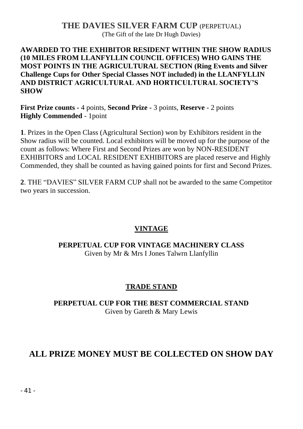#### **THE DAVIES SILVER FARM CUP** (PERPETUAL) (The Gift of the late Dr Hugh Davies)

#### **AWARDED TO THE EXHIBITOR RESIDENT WITHIN THE SHOW RADIUS (10 MILES FROM LLANFYLLIN COUNCIL OFFICES) WHO GAINS THE MOST POINTS IN THE AGRICULTURAL SECTION (Ring Events and Silver Challenge Cups for Other Special Classes NOT included) in the LLANFYLLIN AND DISTRICT AGRICULTURAL AND HORTICULTURAL SOCIETY'S SHOW**

**First Prize counts -** 4 points, **Second Prize -** 3 points, **Reserve** - 2 points **Highly Commended** - 1point

**1**. Prizes in the Open Class (Agricultural Section) won by Exhibitors resident in the Show radius will be counted. Local exhibitors will be moved up for the purpose of the count as follows: Where First and Second Prizes are won by NON-RESIDENT EXHIBITORS and LOCAL RESIDENT EXHIBITORS are placed reserve and Highly Commended, they shall be counted as having gained points for first and Second Prizes.

**2**. THE "DAVIES" SILVER FARM CUP shall not be awarded to the same Competitor two years in succession.

#### **VINTAGE**

#### **PERPETUAL CUP FOR VINTAGE MACHINERY CLASS** Given by Mr & Mrs I Jones Talwrn Llanfyllin

#### **TRADE STAND**

#### **PERPETUAL CUP FOR THE BEST COMMERCIAL STAND** Given by Gareth & Mary Lewis

## **ALL PRIZE MONEY MUST BE COLLECTED ON SHOW DAY**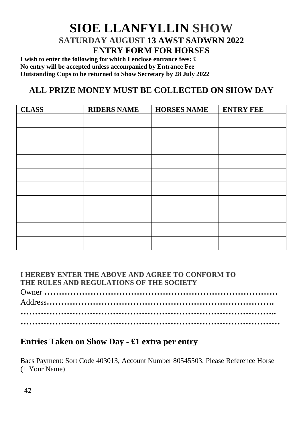# **SIOE LLANFYLLIN SHOW SATURDAY AUGUST 13 AWST SADWRN 2022 ENTRY FORM FOR HORSES**

**I wish to enter the following for which I enclose entrance fees: £ No entry will be accepted unless accompanied by Entrance Fee Outstanding Cups to be returned to Show Secretary by 28 July 2022**

## **ALL PRIZE MONEY MUST BE COLLECTED ON SHOW DAY**

| <b>CLASS</b> | <b>RIDERS NAME</b> | <b>HORSES NAME</b> | <b>ENTRY FEE</b> |
|--------------|--------------------|--------------------|------------------|
|              |                    |                    |                  |
|              |                    |                    |                  |
|              |                    |                    |                  |
|              |                    |                    |                  |
|              |                    |                    |                  |
|              |                    |                    |                  |
|              |                    |                    |                  |
|              |                    |                    |                  |
|              |                    |                    |                  |
|              |                    |                    |                  |

#### **I HEREBY ENTER THE ABOVE AND AGREE TO CONFORM TO THE RULES AND REGULATIONS OF THE SOCIETY**

Owner **………………………………………………………………………** Address**……………………………………………………………………. …………………………………………………………………………….. ………………………………………………………………………………**

#### **Entries Taken on Show Day - £1 extra per entry**

Bacs Payment: Sort Code 403013, Account Number 80545503. Please Reference Horse (+ Your Name)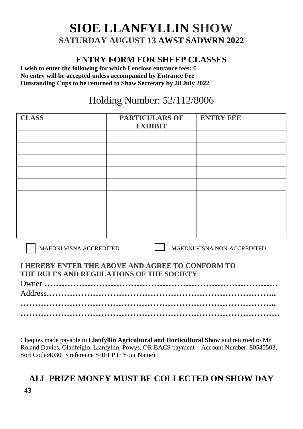# **SIOE LLANFYLLIN SHOW SATURDAY AUGUST 13 AWST SADWRN 2022**

#### **ENTRY FORM FOR SHEEP CLASSES**

**I wish to enter the following for which I enclose entrance fees: £ No entry will be accepted unless accompanied by Entrance Fee Outstanding Cups to be returned to Show Secretary by 28 July 2022**

# Holding Number: 52/112/8006

| <b>CLASS</b> | <b>PARTICULARS OF</b><br><b>EXHIBIT</b> | <b>ENTRY FEE</b> |
|--------------|-----------------------------------------|------------------|
|              |                                         |                  |
|              |                                         |                  |
|              |                                         |                  |
|              |                                         |                  |
|              |                                         |                  |
|              |                                         |                  |
|              |                                         |                  |
|              |                                         |                  |
|              |                                         |                  |

MAEDNI VISNA ACCREDITED MAEDNI VISNA NON-ACCREDITED

#### **I HEREBY ENTER THE ABOVE AND AGREE TO CONFORM TO THE RULES AND REGULATIONS OF THE SOCIETY**

Cheques made payable to **Llanfyllin Agricultural and Horticultural Show** and returned to Mr Roland Davies, Glanfeiglo, Llanfyllin, Powys, OR BACS payment – Account Number: 80545503, Sort Code:403013 reference SHEEP (+Your Name)

# **ALL PRIZE MONEY MUST BE COLLECTED ON SHOW DAY**

- 43 -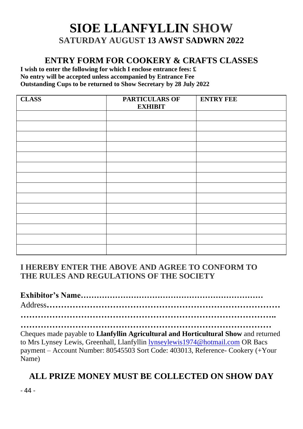# **SIOE LLANFYLLIN SHOW SATURDAY AUGUST 13 AWST SADWRN 2022**

#### **ENTRY FORM FOR COOKERY & CRAFTS CLASSES**

**I wish to enter the following for which I enclose entrance fees: £ No entry will be accepted unless accompanied by Entrance Fee Outstanding Cups to be returned to Show Secretary by 28 July 2022**

| <b>CLASS</b> | <b>PARTICULARS OF</b><br><b>EXHIBIT</b> | <b>ENTRY FEE</b> |
|--------------|-----------------------------------------|------------------|
|              |                                         |                  |
|              |                                         |                  |
|              |                                         |                  |
|              |                                         |                  |
|              |                                         |                  |
|              |                                         |                  |
|              |                                         |                  |
|              |                                         |                  |
|              |                                         |                  |
|              |                                         |                  |
|              |                                         |                  |
|              |                                         |                  |
|              |                                         |                  |
|              |                                         |                  |

#### **I HEREBY ENTER THE ABOVE AND AGREE TO CONFORM TO THE RULES AND REGULATIONS OF THE SOCIETY**

**Exhibitor's Name……………………………………………………………** Address**……………………………………………………………………… ……………………………………………………………………………..**

**……………………………………………………………………………** Cheques made payable to **Llanfyllin Agricultural and Horticultural Show** and returned to Mrs Lynsey Lewis, Greenhall, Llanfyllin [lynseylewis1974@hotmail.com](mailto:lynseylewis1974@hotmail.com) OR Bacs payment – Account Number: 80545503 Sort Code: 403013, Reference- Cookery (+Your Name)

# **ALL PRIZE MONEY MUST BE COLLECTED ON SHOW DAY**

- 44 -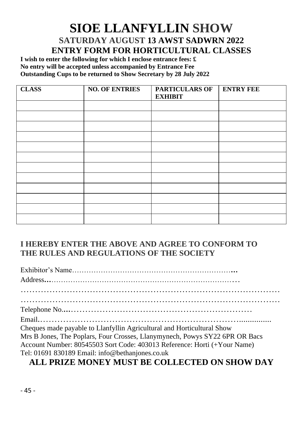# **SIOE LLANFYLLIN SHOW SATURDAY AUGUST 13 AWST SADWRN 2022 ENTRY FORM FOR HORTICULTURAL CLASSES**

**I wish to enter the following for which I enclose entrance fees: £ No entry will be accepted unless accompanied by Entrance Fee Outstanding Cups to be returned to Show Secretary by 28 July 2022**

| <b>CLASS</b> | <b>NO. OF ENTRIES</b> | <b>PARTICULARS OF</b><br><b>EXHIBIT</b> | <b>ENTRY FEE</b> |
|--------------|-----------------------|-----------------------------------------|------------------|
|              |                       |                                         |                  |
|              |                       |                                         |                  |
|              |                       |                                         |                  |
|              |                       |                                         |                  |
|              |                       |                                         |                  |
|              |                       |                                         |                  |
|              |                       |                                         |                  |
|              |                       |                                         |                  |
|              |                       |                                         |                  |
|              |                       |                                         |                  |
|              |                       |                                         |                  |
|              |                       |                                         |                  |

#### **I HEREBY ENTER THE ABOVE AND AGREE TO CONFORM TO THE RULES AND REGULATIONS OF THE SOCIETY**

Exhibitor's Name…………………………………………………………**…** Address**…**…………………………………………………………………… ……………………………………………………………………………… ……………………………………………………………………………… Telephone No.**…**……………………………………………………… Email.……………………………………………………………............... Cheques made payable to Llanfyllin Agricultural and Horticultural Show Mrs B Jones, The Poplars, Four Crosses, Llanymynech, Powys SY22 6PR OR Bacs Account Number: 80545503 Sort Code: 403013 Reference: Horti (+Your Name) Tel: 01691 830189 Email: info@bethanjones.co.uk

#### **ALL PRIZE MONEY MUST BE COLLECTED ON SHOW DAY**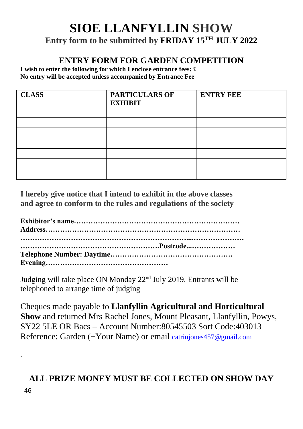# **SIOE LLANFYLLIN SHOW Entry form to be submitted by FRIDAY 15 TH JULY 2022**

#### **ENTRY FORM FOR GARDEN COMPETITION**

**I wish to enter the following for which I enclose entrance fees: £ No entry will be accepted unless accompanied by Entrance Fee**

| <b>CLASS</b> | <b>PARTICULARS OF</b><br><b>EXHIBIT</b> | <b>ENTRY FEE</b> |
|--------------|-----------------------------------------|------------------|
|              |                                         |                  |
|              |                                         |                  |
|              |                                         |                  |
|              |                                         |                  |
|              |                                         |                  |
|              |                                         |                  |
|              |                                         |                  |

**I hereby give notice that I intend to exhibit in the above classes and agree to conform to the rules and regulations of the society**

Judging will take place ON Monday 22<sup>nd</sup> July 2019. Entrants will be telephoned to arrange time of judging

.

Cheques made payable to **Llanfyllin Agricultural and Horticultural Show** and returned Mrs Rachel Jones, Mount Pleasant, Llanfyllin, Powys, SY22 5LE OR Bacs – Account Number:80545503 Sort Code:403013 Reference: Garden (+Your Name) or email [catrinjones457@gmail.com](mailto:catrinjones457@gmail.com)

# - 46 - **ALL PRIZE MONEY MUST BE COLLECTED ON SHOW DAY**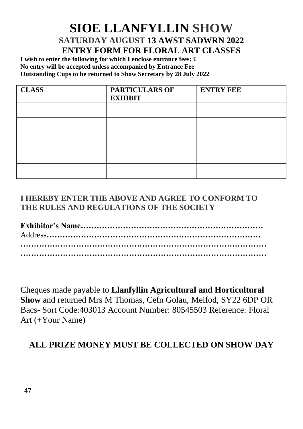# **SIOE LLANFYLLIN SHOW SATURDAY AUGUST 13 AWST SADWRN 2022 ENTRY FORM FOR FLORAL ART CLASSES**

**I wish to enter the following for which I enclose entrance fees: £ No entry will be accepted unless accompanied by Entrance Fee Outstanding Cups to be returned to Show Secretary by 28 July 2022**

| <b>CLASS</b> | <b>PARTICULARS OF</b><br><b>EXHIBIT</b> | <b>ENTRY FEE</b> |
|--------------|-----------------------------------------|------------------|
|              |                                         |                  |
|              |                                         |                  |
|              |                                         |                  |
|              |                                         |                  |
|              |                                         |                  |

#### **I HEREBY ENTER THE ABOVE AND AGREE TO CONFORM TO THE RULES AND REGULATIONS OF THE SOCIETY**

Cheques made payable to **Llanfyllin Agricultural and Horticultural Show** and returned Mrs M Thomas, Cefn Golau, Meifod, SY22 6DP OR Bacs- Sort Code:403013 Account Number: 80545503 Reference: Floral Art (+Your Name)

## **ALL PRIZE MONEY MUST BE COLLECTED ON SHOW DAY**